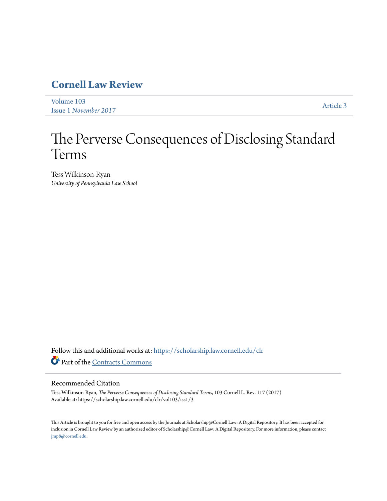# **[Cornell Law Review](https://scholarship.law.cornell.edu/clr?utm_source=scholarship.law.cornell.edu%2Fclr%2Fvol103%2Fiss1%2F3&utm_medium=PDF&utm_campaign=PDFCoverPages)**

[Volume 103](https://scholarship.law.cornell.edu/clr/vol103?utm_source=scholarship.law.cornell.edu%2Fclr%2Fvol103%2Fiss1%2F3&utm_medium=PDF&utm_campaign=PDFCoverPages) Issue 1 *[November 2017](https://scholarship.law.cornell.edu/clr/vol103/iss1?utm_source=scholarship.law.cornell.edu%2Fclr%2Fvol103%2Fiss1%2F3&utm_medium=PDF&utm_campaign=PDFCoverPages)* [Article 3](https://scholarship.law.cornell.edu/clr/vol103/iss1/3?utm_source=scholarship.law.cornell.edu%2Fclr%2Fvol103%2Fiss1%2F3&utm_medium=PDF&utm_campaign=PDFCoverPages)

# The Perverse Consequences of Disclosing Standard Terms

Tess Wilkinson-Ryan *University of Pennsylvania Law School*

Follow this and additional works at: [https://scholarship.law.cornell.edu/clr](https://scholarship.law.cornell.edu/clr?utm_source=scholarship.law.cornell.edu%2Fclr%2Fvol103%2Fiss1%2F3&utm_medium=PDF&utm_campaign=PDFCoverPages) Part of the [Contracts Commons](http://network.bepress.com/hgg/discipline/591?utm_source=scholarship.law.cornell.edu%2Fclr%2Fvol103%2Fiss1%2F3&utm_medium=PDF&utm_campaign=PDFCoverPages)

# Recommended Citation

Tess Wilkinson-Ryan, *The Perverse Consequences of Disclosing Standard Terms*, 103 Cornell L. Rev. 117 (2017) Available at: https://scholarship.law.cornell.edu/clr/vol103/iss1/3

This Article is brought to you for free and open access by the Journals at Scholarship@Cornell Law: A Digital Repository. It has been accepted for inclusion in Cornell Law Review by an authorized editor of Scholarship@Cornell Law: A Digital Repository. For more information, please contact [jmp8@cornell.edu.](mailto:jmp8@cornell.edu)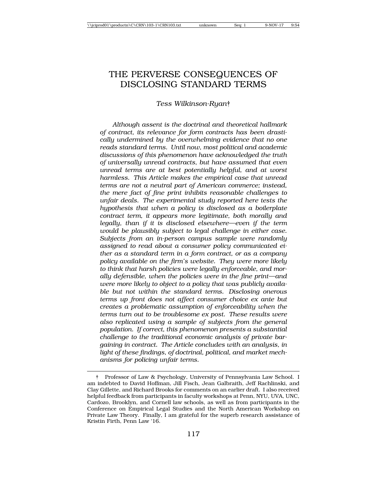# THE PERVERSE CONSEQUENCES OF DISCLOSING STANDARD TERMS

#### *Tess Wilkinson-Ryan*†

*Although assent is the doctrinal and theoretical hallmark of contract, its relevance for form contracts has been drastically undermined by the overwhelming evidence that no one reads standard terms. Until now, most political and academic discussions of this phenomenon have acknowledged the truth of universally unread contracts, but have assumed that even unread terms are at best potentially helpful, and at worst harmless. This Article makes the empirical case that unread terms are not a neutral part of American commerce; instead, the mere fact of fine print inhibits reasonable challenges to unfair deals. The experimental study reported here tests the hypothesis that when a policy is disclosed as a boilerplate contract term, it appears more legitimate, both morally and legally, than if it is disclosed elsewhere—even if the term would be plausibly subject to legal challenge in either case. Subjects from an in-person campus sample were randomly assigned to read about a consumer policy communicated either as a standard term in a form contract, or as a company policy available on the firm's website. They were more likely to think that harsh policies were legally enforceable, and morally defensible, when the policies were in the fine print—and were more likely to object to a policy that was publicly available but not within the standard terms. Disclosing onerous terms up front does not affect consumer choice ex ante but creates a problematic assumption of enforceability when the terms turn out to be troublesome ex post. These results were also replicated using a sample of subjects from the general population. If correct, this phenomenon presents a substantial challenge to the traditional economic analysis of private bargaining in contract. The Article concludes with an analysis, in light of these findings, of doctrinal, political, and market mechanisms for policing unfair terms.*

<sup>†</sup> Professor of Law & Psychology, University of Pennsylvania Law School. I am indebted to David Hoffman, Jill Fisch, Jean Galbraith, Jeff Rachlinski, and Clay Gillette, and Richard Brooks for comments on an earlier draft. I also received helpful feedback from participants in faculty workshops at Penn, NYU, UVA, UNC, Cardozo, Brooklyn, and Cornell law schools, as well as from participants in the Conference on Empirical Legal Studies and the North American Workshop on Private Law Theory. Finally, I am grateful for the superb research assistance of Kristin Firth, Penn Law '16.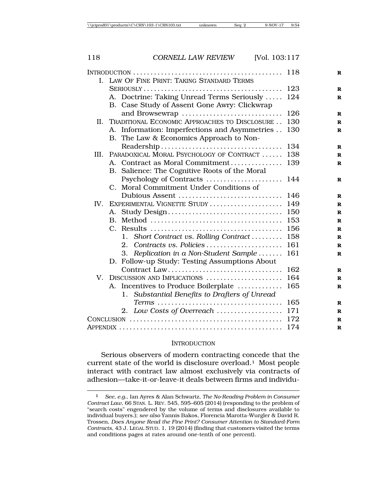|      | I. LAW OF FINE PRINT: TAKING STANDARD TERMS                   |
|------|---------------------------------------------------------------|
|      | 123                                                           |
|      | A. Doctrine: Taking Unread Terms Seriously<br>124             |
|      | B. Case Study of Assent Gone Awry: Clickwrap                  |
|      | and Browsewrap<br>126                                         |
| II.  | TRADITIONAL ECONOMIC APPROACHES TO DISCLOSURE<br>130          |
|      | A. Information: Imperfections and Asymmetries<br>130          |
|      | B. The Law & Economics Approach to Non-                       |
|      | 134                                                           |
| III. | PARADOXICAL MORAL PSYCHOLOGY OF CONTRACT<br>138               |
|      | A. Contract as Moral Commitment<br>139                        |
|      | B. Salience: The Cognitive Roots of the Moral                 |
|      | Psychology of Contracts<br>144                                |
|      | C. Moral Commitment Under Conditions of                       |
|      | Dubious Assent<br>146                                         |
| IV.  | EXPERIMENTAL VIGNETTE STUDY<br>149                            |
|      | A. Study Design<br>150                                        |
|      | 153                                                           |
|      | 156                                                           |
|      | Short Contract vs. Rolling Contract<br>158<br>$1_{\cdot}$     |
|      | 2. Contracts vs. Policies<br>161<br>161                       |
|      | 3. Replication in a Non-Student Sample                        |
|      | D. Follow-up Study: Testing Assumptions About<br>Contract Law |
| V.   | 162<br>164<br>DISCUSSION AND IMPLICATIONS                     |
|      | 165<br>A. Incentives to Produce Boilerplate                   |
|      | Substantial Benefits to Drafters of Unread<br>1.              |
|      | 165                                                           |
|      | 2. Low Costs of Overreach<br>171                              |
|      | 172                                                           |
|      | 174                                                           |
|      |                                                               |

#### **INTRODUCTION**

Serious observers of modern contracting concede that the current state of the world is disclosure overload.1 Most people interact with contract law almost exclusively via contracts of adhesion—take-it-or-leave-it deals between firms and individu-

<sup>1</sup> *See, e.g.*, Ian Ayres & Alan Schwartz, *The No-Reading Problem in Consumer Contract Law*, 66 STAN. L. REV. 545, 595–605 (2014) (responding to the problem of "search costs" engendered by the volume of terms and disclosures available to individual buyers.); *see also* Yannis Bakos, Florencia Marotta-Wurgler & David R. Trossen, *Does Anyone Read the Fine Print? Consumer Attention to Standard-Form Contracts*, 43 J. LEGAL STUD. 1, 19 (2014) (finding that customers visited the terms and conditions pages at rates around one-tenth of one percent).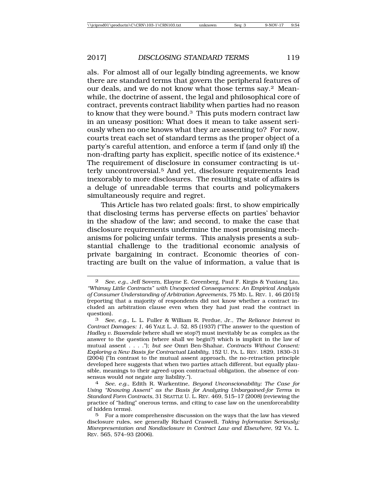als. For almost all of our legally binding agreements, we know there are standard terms that govern the peripheral features of our deals, and we do not know what those terms say.2 Meanwhile, the doctrine of assent, the legal and philosophical core of contract, prevents contract liability when parties had no reason to know that they were bound.3 This puts modern contract law in an uneasy position: What does it mean to take assent seriously when no one knows what they are assenting to? For now, courts treat each set of standard terms as the proper object of a party's careful attention, and enforce a term if (and only if) the non-drafting party has explicit, specific notice of its existence.4 The requirement of disclosure in consumer contracting is utterly uncontroversial.5 And yet, disclosure requirements lead inexorably to more disclosures. The resulting state of affairs is a deluge of unreadable terms that courts and policymakers simultaneously require and regret.

This Article has two related goals: first, to show empirically that disclosing terms has perverse effects on parties' behavior in the shadow of the law; and second, to make the case that disclosure requirements undermine the most promising mechanisms for policing unfair terms. This analysis presents a substantial challenge to the traditional economic analysis of private bargaining in contract. Economic theories of contracting are built on the value of information, a value that is

<sup>2</sup> *See, e.g.*, Jeff Sovern, Elayne E. Greenberg, Paul F. Kirgis & Yuxiang Liu, *"Whimsy Little Contracts" with Unexpected Consequences: An Empirical Analysis of Consumer Understanding of Arbitration Agreements*, 75 MD. L. REV. 1, 46 (2015) (reporting that a majority of respondents did not know whether a contract included an arbitration clause even when they had just read the contract in question).<br> $\frac{3}{5}$ 

<sup>3</sup> *See, e.g.*, L. L. Fuller & William R. Perdue, Jr., *The Reliance Interest in Contract Damages: 1*, 46 YALE L. J. 52, 85 (1937) ("The answer to the question of *Hadley v. Baxendale* (where shall we stop?) must inevitably be as complex as the answer to the question (where shall we begin?) which is implicit in the law of mutual assent . . . ."); *but see* Omri Ben-Shahar, *Contracts Without Consent: Exploring a New Basis for Contractual Liability*, 152 U. PA. L. REV. 1829, 1830–31 (2004) ("In contrast to the mutual assent approach, the no-retraction principle developed here suggests that when two parties attach different, but equally plausible, meanings to their agreed-upon contractual obligation, the absence of consensus would *not* negate any liability.").

sensus would *not* negate any liability."). <sup>4</sup> *See, e.g.*, Edith R. Warkentine, *Beyond Unconscionability: The Case for Using "Knowing Assent" as the Basis for Analyzing Unbargained-for Terms in Standard Form Contracts*, 31 SEATTLE U. L. REV. 469, 515–17 (2008) (reviewing the practice of "hiding" onerous terms, and citing to case law on the unenforceability of hidden terms).

<sup>5</sup> For a more comprehensive discussion on the ways that the law has viewed disclosure rules, see generally Richard Craswell, *Taking Information Seriously: Misrepresentation and Nondisclosure in Contract Law and Elsewhere*, 92 VA. L. REV. 565, 574–93 (2006).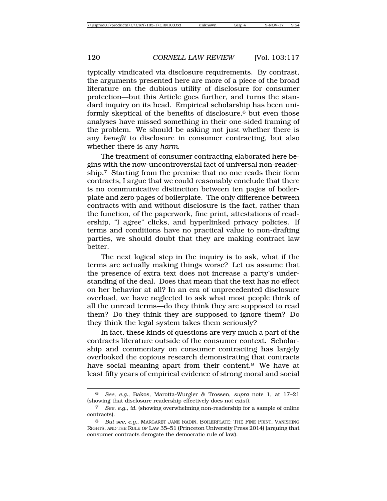typically vindicated via disclosure requirements. By contrast, the arguments presented here are more of a piece of the broad literature on the dubious utility of disclosure for consumer protection—but this Article goes further, and turns the standard inquiry on its head. Empirical scholarship has been uniformly skeptical of the benefits of disclosure, $6$  but even those analyses have missed something in their one-sided framing of the problem. We should be asking not just whether there is any *benefit* to disclosure in consumer contracting, but also whether there is any *harm*.

The treatment of consumer contracting elaborated here begins with the now-uncontroversial fact of universal non-readership.7 Starting from the premise that no one reads their form contracts, I argue that we could reasonably conclude that there is no communicative distinction between ten pages of boilerplate and zero pages of boilerplate. The only difference between contracts with and without disclosure is the fact, rather than the function, of the paperwork, fine print, attestations of readership, "I agree" clicks, and hyperlinked privacy policies. If terms and conditions have no practical value to non-drafting parties, we should doubt that they are making contract law better.

The next logical step in the inquiry is to ask, what if the terms are actually making things worse? Let us assume that the presence of extra text does not increase a party's understanding of the deal. Does that mean that the text has no effect on her behavior at all? In an era of unprecedented disclosure overload, we have neglected to ask what most people think of all the unread terms—do they think they are supposed to read them? Do they think they are supposed to ignore them? Do they think the legal system takes them seriously?

In fact, these kinds of questions are very much a part of the contracts literature outside of the consumer context. Scholarship and commentary on consumer contracting has largely overlooked the copious research demonstrating that contracts have social meaning apart from their content.<sup>8</sup> We have at least fifty years of empirical evidence of strong moral and social

<sup>6</sup> *See, e.g.*, Bakos, Marotta-Wurgler & Trossen, *supra* note 1, at 17–21 (showing that disclosure readership effectively does not exist).

<sup>7</sup> *See, e.g.*, *id.* (showing overwhelming non-readership for a sample of online contracts).

<sup>8</sup> *But see, e.g.*, MARGARET JANE RADIN, BOILERPLATE: THE FINE PRINT, VANISHING RIGHTS, AND THE RULE OF LAW 35–51 (Princeton University Press 2014) (arguing that consumer contracts derogate the democratic rule of law).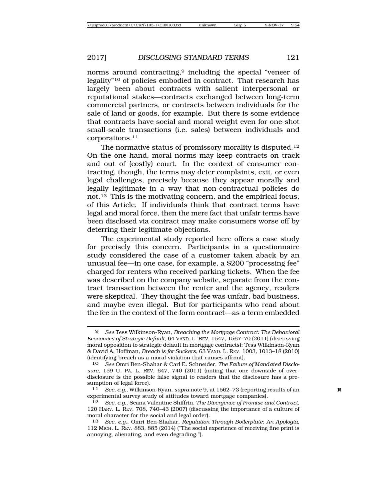norms around contracting,<sup>9</sup> including the special "veneer of legality"10 of policies embodied in contract. That research has largely been about contracts with salient interpersonal or reputational stakes—contracts exchanged between long-term commercial partners, or contracts between individuals for the sale of land or goods, for example. But there is some evidence that contracts have social and moral weight even for one-shot small-scale transactions (i.e. sales) between individuals and corporations.11

The normative status of promissory morality is disputed.12 On the one hand, moral norms may keep contracts on track and out of (costly) court. In the context of consumer contracting, though, the terms may deter complaints, exit, or even legal challenges, precisely because they appear morally and legally legitimate in a way that non-contractual policies do not.13 This is the motivating concern, and the empirical focus, of this Article. If individuals think that contract terms have legal and moral force, then the mere fact that unfair terms have been disclosed via contract may make consumers worse off by deterring their legitimate objections.

The experimental study reported here offers a case study for precisely this concern. Participants in a questionnaire study considered the case of a customer taken aback by an unusual fee—in one case, for example, a \$200 "processing fee" charged for renters who received parking tickets. When the fee was described on the company website, separate from the contract transaction between the renter and the agency, readers were skeptical. They thought the fee was unfair, bad business, and maybe even illegal. But for participants who read about the fee in the context of the form contract—as a term embedded

<sup>9</sup> *See* Tess Wilkinson-Ryan, *Breaching the Mortgage Contract: The Behavioral Economics of Strategic Default*, 64 VAND. L. REV. 1547, 1567–70 (2011) (discussing moral opposition to strategic default in mortgage contracts); Tess Wilkinson-Ryan & David A. Hoffman, *Breach is for Suckers*, 63 VAND. L. REV. 1003, 1013–18 (2010) (identifying breach as a moral violation that causes affront).

<sup>10</sup> *See* Omri Ben-Shahar & Carl E. Schneider, *The Failure of Mandated Disclosure*, 159 U. PA. L. REV. 647, 740 (2011) (noting that one downside of overdisclosure is the possible false signal to readers that the disclosure has a presumption of legal force).

<sup>11</sup> *See, e.g.*, Wilkinson-Ryan, *supra* note 9, at 1562–73 (reporting results of an **R** experimental survey study of attitudes toward mortgage companies).

<sup>12</sup> *See, e.g.*, Seana Valentine Shiffrin, *The Divergence of Promise and Contract*, 120 HARV. L. REV. 708, 740–43 (2007) (discussing the importance of a culture of moral character for the social and legal order).

<sup>13</sup> *See, e.g.*, Omri Ben-Shahar, *Regulation Through Boilerplate: An Apologia*, 112 MICH. L. REV. 883, 885 (2014) ("The social experience of receiving fine print is annoying, alienating, and even degrading.").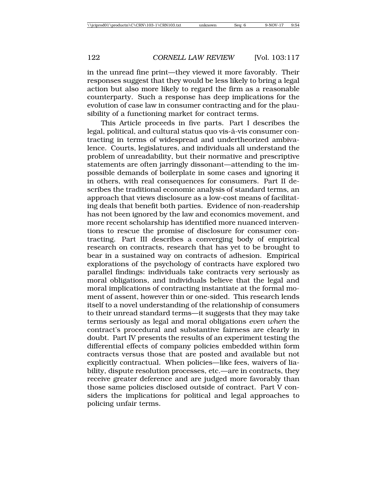in the unread fine print—they viewed it more favorably. Their responses suggest that they would be less likely to bring a legal action but also more likely to regard the firm as a reasonable counterparty. Such a response has deep implications for the evolution of case law in consumer contracting and for the plausibility of a functioning market for contract terms.

This Article proceeds in five parts. Part I describes the legal, political, and cultural status quo vis-à-vis consumer contracting in terms of widespread and undertheorized ambivalence. Courts, legislatures, and individuals all understand the problem of unreadability, but their normative and prescriptive statements are often jarringly dissonant—attending to the impossible demands of boilerplate in some cases and ignoring it in others, with real consequences for consumers. Part II describes the traditional economic analysis of standard terms, an approach that views disclosure as a low-cost means of facilitating deals that benefit both parties. Evidence of non-readership has not been ignored by the law and economics movement, and more recent scholarship has identified more nuanced interventions to rescue the promise of disclosure for consumer contracting. Part III describes a converging body of empirical research on contracts, research that has yet to be brought to bear in a sustained way on contracts of adhesion. Empirical explorations of the psychology of contracts have explored two parallel findings: individuals take contracts very seriously as moral obligations, and individuals believe that the legal and moral implications of contracting instantiate at the formal moment of assent, however thin or one-sided. This research lends itself to a novel understanding of the relationship of consumers to their unread standard terms—it suggests that they may take terms seriously as legal and moral obligations *even when* the contract's procedural and substantive fairness are clearly in doubt. Part IV presents the results of an experiment testing the differential effects of company policies embedded within form contracts versus those that are posted and available but not explicitly contractual. When policies—like fees, waivers of liability, dispute resolution processes, etc.—are in contracts, they receive greater deference and are judged more favorably than those same policies disclosed outside of contract. Part V considers the implications for political and legal approaches to policing unfair terms.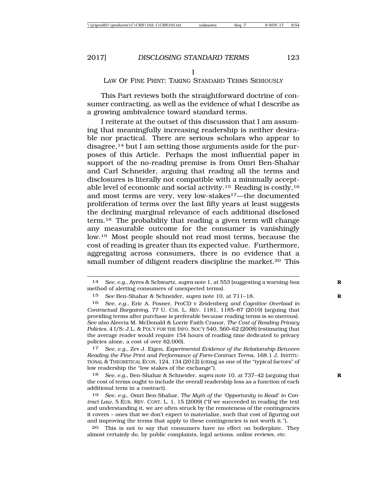### LAW OF FINE PRINT: TAKING STANDARD TERMS SERIOUSLY

This Part reviews both the straightforward doctrine of consumer contracting, as well as the evidence of what I describe as a growing ambivalence toward standard terms.

I reiterate at the outset of this discussion that I am assuming that meaningfully increasing readership is neither desirable nor practical. There are serious scholars who appear to disagree,14 but I am setting those arguments aside for the purposes of this Article. Perhaps the most influential paper in support of the no-reading premise is from Omri Ben-Shahar and Carl Schneider, arguing that reading all the terms and disclosures is literally not compatible with a minimally acceptable level of economic and social activity.15 Reading is costly,16 and most terms are very, very low-stakes<sup>17</sup>—the documented proliferation of terms over the last fifty years at least suggests the declining marginal relevance of each additional disclosed term.18 The probability that reading a given term will change any measurable outcome for the consumer is vanishingly low.19 Most people should not read most terms, because the cost of reading is greater than its expected value. Furthermore, aggregating across consumers, there is no evidence that a small number of diligent readers discipline the market.<sup>20</sup> This

17 *See, e.g.*, Zev J. Eigen, *Experimental Evidence of the Relationship Between Reading the Fine Print and Performance of Form-Contract Terms*, 168.1 J. INSTITU-TIONAL & THEORETICAL ECON*.* 124, 134 (2012) (citing as one of the "typical factors" of low readership the "low stakes of the exchange").

18 *See, e.g.*, Ben-Shahar & Schneider, *supra* note 10, at 737–42 (arguing that **R** the cost of terms ought to include the overall readership loss as a function of each additional term in a contract).

20 This is not to say that consumers have no effect on boilerplate. They almost certainly do, by public complaints, legal actions, online reviews, etc.

<sup>14</sup> *See, e.g.*, Ayres & Schwartz, *supra* note 1, at 553 (suggesting a warning-box **R** method of alerting consumers of unexpected terms).

<sup>15</sup> *See* Ben-Shahar & Schneider, *supra* note 10, at 711–18. **R**

<sup>16</sup> *See, e.g.*, Eric A. Posner, ProCD v Zeidenberg *and Cognitive Overload in Contractual Bargaining*, 77 U. CHI. L. REV. 1181, 1185–87 (2010) (arguing that providing terms after purchase is preferable because reading terms is so onerous). *See also* Aleecia M. McDonald & Lorrie Faith Cranor, *The Cost of Reading Privacy Policies*, 4 I/S: J.L. & POL'Y FOR THE INFO. SOC'Y 540, 560–62 (2008) (estimating that the average reader would require 154 hours of reading time dedicated to privacy policies alone, a cost of over \$2,000).

<sup>19</sup> *See, e.g.*, Omri Ben-Shahar, *The Myth of the 'Opportunity to Read' in Contract Law,* 5 EUR. REV. CONT. L. 1, 15 (2009) ("If we succeeded in reading the text and understanding it, we are often struck by the remoteness of the contingencies it covers – ones that we don't expect to materialize, such that cost of figuring out and improving the terms that apply to these contingencies is not worth it.").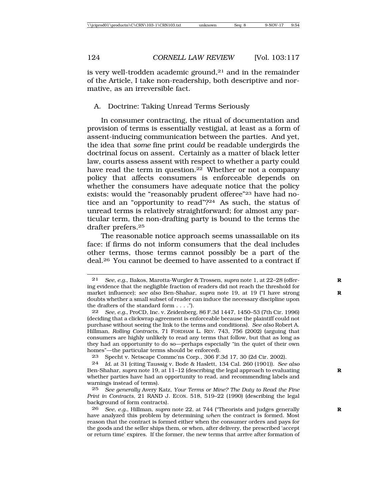is very well-trodden academic ground, $21$  and in the remainder of the Article, I take non-readership, both descriptive and normative, as an irreversible fact.

#### A. Doctrine: Taking Unread Terms Seriously

In consumer contracting, the ritual of documentation and provision of terms is essentially vestigial, at least as a form of assent-inducing communication between the parties. And yet, the idea that *some* fine print *could* be readable undergirds the doctrinal focus on assent. Certainly as a matter of black letter law, courts assess assent with respect to whether a party could have read the term in question.<sup>22</sup> Whether or not a company policy that affects consumers is enforceable depends on whether the consumers have adequate notice that the policy exists: would the "reasonably prudent offeree"23 have had notice and an "opportunity to read"?24 As such, the status of unread terms is relatively straightforward; for almost any particular term, the non-drafting party is bound to the terms the drafter prefers.25

The reasonable notice approach seems unassailable on its face: if firms do not inform consumers that the deal includes other terms, those terms cannot possibly be a part of the deal.26 You cannot be deemed to have assented to a contract if

<sup>21</sup> *See, e.g.*, Bakos, Marotta-Wurgler & Trossen, *supra* note 1, at 22–28 (offer- **R** ing evidence that the negligible fraction of readers did not reach the threshold for market influence); *see also* Ben-Shahar, *supra* note 19, at 19 ("I have strong **R** doubts whether a small subset of reader can induce the necessary discipline upon the drafters of the standard form . . . .").

<sup>22</sup> *See, e.g.*, ProCD, Inc. v. Zeidenberg, 86 F.3d 1447, 1450–53 (7th Cir. 1996) (deciding that a clickwrap agreement is enforceable because the plaintiff could not purchase without seeing the link to the terms and conditions). *See also* Robert A. Hillman, *Rolling Contracts*, 71 FORDHAM L. REV. 743, 756 (2002) (arguing that consumers are highly unlikely to read any terms that follow, but that as long as they had an opportunity to do so—perhaps especially "in the quiet of their own homes"—the particular terms should be enforced).

<sup>23</sup> Specht v. Netscape Commc'ns Corp., 306 F.3d 17, 30 (2d Cir. 2002).

<sup>24</sup> *Id.* at 31 (citing Taussig v. Bode & Haslett, 134 Cal. 260 (1901)). *See also* Ben-Shahar, *supra* note 19, at 11–12 (describing the legal approach to evaluating **R** whether parties have had an opportunity to read, and recommending labels and warnings instead of terms).

<sup>25</sup> *See generally* Avery Katz, *Your Terms or Mine? The Duty to Read the Fine Print in Contracts*, 21 RAND J. ECON. 518, 519–22 (1990) (describing the legal background of form contracts).

<sup>26</sup> *See, e.g.*, Hillman, *supra* note 22, at 744 ("Theorists and judges generally **R** have analyzed this problem by determining *when* the contract is formed. Most reason that the contract is formed either when the consumer orders and pays for the goods and the seller ships them, or when, after delivery, the prescribed 'accept or return time' expires. If the former, the new terms that arrive after formation of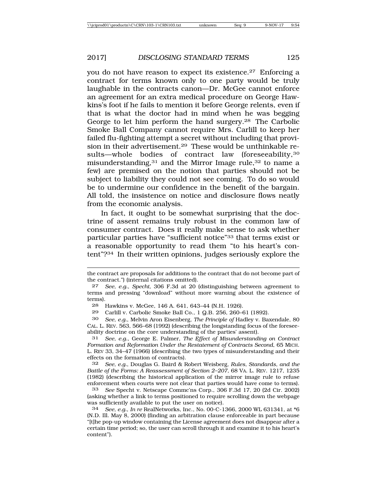you do not have reason to expect its existence.27 Enforcing a contract for terms known only to one party would be truly laughable in the contracts canon—Dr. McGee cannot enforce an agreement for an extra medical procedure on George Hawkins's foot if he fails to mention it before George relents, even if that is what the doctor had in mind when he was begging George to let him perform the hand surgery.28 The Carbolic Smoke Ball Company cannot require Mrs. Carlill to keep her failed flu-fighting attempt a secret without including that provision in their advertisement.<sup>29</sup> These would be unthinkable results—whole bodies of contract law (foreseeability,30 misunderstanding,<sup>31</sup> and the Mirror Image rule,<sup>32</sup> to name a few) are premised on the notion that parties should not be subject to liability they could not see coming. To do so would be to undermine our confidence in the benefit of the bargain. All told, the insistence on notice and disclosure flows neatly from the economic analysis.

In fact, it ought to be somewhat surprising that the doctrine of assent remains truly robust in the common law of consumer contract. Does it really make sense to ask whether particular parties have "sufficient notice"33 that terms exist or a reasonable opportunity to read them "to his heart's content"?34 In their written opinions, judges seriously explore the

29 Carlill v. Carbolic Smoke Ball Co., 1 Q.B. 256, 260–61 (1892).

30 *See, e.g.*, Melvin Aron Eisenberg, *The Principle of* Hadley v. Baxendale, 80 CAL. L. REV. 563, 566–68 (1992) (describing the longstanding focus of the foreseeability doctrine on the core understanding of the parties' assent).

31 *See, e.g.*, George E. Palmer, *The Effect of Misunderstanding on Contract Formation and Reformation Under the Restatement of Contracts Second*, 65 MICH. L. REV 33, 34–47 (1966) (describing the two types of misunderstanding and their effects on the formation of contracts).

32 *See, e.g.*, Douglas G. Baird & Robert Weisberg, *Rules, Standards, and the Battle of the Forms: A Reassessment of Section 2–207*, 68 VA. L. REV. 1217, 1235 (1982) (describing the historical application of the mirror image rule to refuse enforcement when courts were not clear that parties would have come to terms).

33 *See* Specht v. Netscape Commc'ns Corp., 306 F.3d 17, 20 (2d Cir. 2002) (asking whether a link to terms positioned to require scrolling down the webpage was sufficiently available to put the user on notice).

34 *See, e.g.*, *In re* RealNetworks, Inc., No. 00-C-1366, 2000 WL 631341, at \*6 (N.D. Ill. May 8, 2000) (finding an arbitration clause enforceable in part because "[t]he pop-up window containing the License agreement does not disappear after a certain time period; so, the user can scroll through it and examine it to his heart's content").

the contract are proposals for additions to the contract that do not become part of the contract.") (internal citations omitted).

<sup>27</sup> *See, e.g.*, *Specht*, 306 F.3d at 20 (distinguishing between agreement to terms and pressing "download" without more warning about the existence of terms).

<sup>28</sup> Hawkins v. McGee, 146 A. 641, 643–44 (N.H. 1926).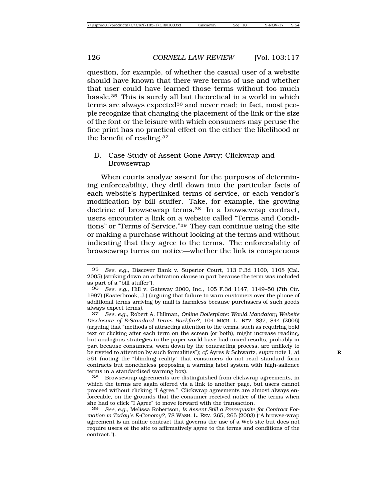question, for example, of whether the casual user of a website should have known that there were terms of use and whether that user could have learned those terms without too much hassle.35 This is surely all but theoretical in a world in which terms are always expected<sup>36</sup> and never read; in fact, most people recognize that changing the placement of the link or the size of the font or the leisure with which consumers may peruse the fine print has no practical effect on the either the likelihood or the benefit of reading.37

### B. Case Study of Assent Gone Awry: Clickwrap and Browsewrap

When courts analyze assent for the purposes of determining enforceability, they drill down into the particular facts of each website's hyperlinked terms of service, or each vendor's modification by bill stuffer. Take, for example, the growing doctrine of browsewrap terms.38 In a browsewrap contract, users encounter a link on a website called "Terms and Conditions" or "Terms of Service."39 They can continue using the site or making a purchase without looking at the terms and without indicating that they agree to the terms. The enforceability of browsewrap turns on notice—whether the link is conspicuous

<sup>35</sup> *See, e.g.*, Discover Bank v. Superior Court, 113 P.3d 1100, 1108 (Cal. 2005) (striking down an arbitration clause in part because the term was included as part of a "bill stuffer").

<sup>36</sup> *See, e.g.*, Hill v. Gateway 2000, Inc., 105 F.3d 1147, 1149–50 (7th Cir. 1997) (Easterbrook, J.) (arguing that failure to warn customers over the phone of additional terms arriving by mail is harmless because purchasers of such goods always expect terms).

<sup>37</sup> *See, e.g.*, Robert A. Hillman, *Online Boilerplate: Would Mandatory Website Disclosure of E-Standard Terms Backfire?*, 104 MICH. L. REV. 837, 844 (2006) (arguing that "methods of attracting attention to the terms, such as requiring bold text or clicking after each term on the screen (or both), might increase reading, but analogous strategies in the paper world have had mixed results, probably in part because consumers, worn down by the contracting process, are unlikely to be riveted to attention by such formalities"); *cf.* Ayres & Schwartz, *supra* note 1, at **R** 561 (noting the "blinding reality" that consumers do not read standard form contracts but nonetheless proposing a warning label system with high-salience terms in a standardized warning box).

<sup>38</sup> Browsewrap agreements are distinguished from clickwrap agreements, in which the terms are again offered via a link to another page, but users cannot proceed without clicking "I Agree." Clickwrap agreements are almost always enforceable, on the grounds that the consumer received notice of the terms when she had to click "I Agree" to move forward with the transaction.

<sup>39</sup> *See, e.g.*, Melissa Robertson, *Is Assent Still a Prerequisite for Contract Formation in Today's E-Conomy?*, 78 WASH. L. REV. 265, 265 (2003) ("A browse-wrap agreement is an online contract that governs the use of a Web site but does not require users of the site to affirmatively agree to the terms and conditions of the contract.").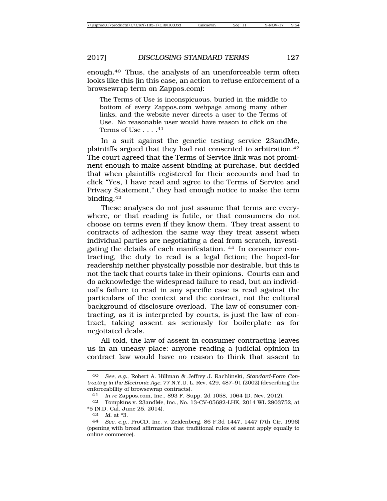enough.40 Thus, the analysis of an unenforceable term often looks like this (in this case, an action to refuse enforcement of a browsewrap term on Zappos.com):

The Terms of Use is inconspicuous, buried in the middle to bottom of every Zappos.com webpage among many other links, and the website never directs a user to the Terms of Use. No reasonable user would have reason to click on the Terms of Use  $\ldots$  . 41

In a suit against the genetic testing service 23andMe, plaintiffs argued that they had not consented to arbitration.42 The court agreed that the Terms of Service link was not prominent enough to make assent binding at purchase, but decided that when plaintiffs registered for their accounts and had to click "Yes, I have read and agree to the Terms of Service and Privacy Statement," they had enough notice to make the term binding.43

These analyses do not just assume that terms are everywhere, or that reading is futile, or that consumers do not choose on terms even if they know them. They treat assent to contracts of adhesion the same way they treat assent when individual parties are negotiating a deal from scratch, investigating the details of each manifestation. 44 In consumer contracting, the duty to read is a legal fiction; the hoped-for readership neither physically possible nor desirable, but this is not the tack that courts take in their opinions. Courts can and do acknowledge the widespread failure to read, but an individual's failure to read in any specific case is read against the particulars of the context and the contract, not the cultural background of disclosure overload. The law of consumer contracting, as it is interpreted by courts, is just the law of contract, taking assent as seriously for boilerplate as for negotiated deals.

All told, the law of assent in consumer contracting leaves us in an uneasy place: anyone reading a judicial opinion in contract law would have no reason to think that assent to

<sup>40</sup> *See, e.g.*, Robert A. Hillman & Jeffrey J. Rachlinski, *Standard-Form Contracting in the Electronic Age*, 77 N.Y.U. L. Rev. 429, 487–91 (2002) (describing the enforceability of browsewrap contracts).

<sup>41</sup> *In re* Zappos.com, Inc., 893 F. Supp. 2d 1058, 1064 (D. Nev. 2012).

<sup>42</sup> Tompkins v. 23andMe, Inc*.*, No. 13-CV-05682-LHK, 2014 WL 2903752, at \*5 (N.D. Cal. June 25, 2014).

<sup>43</sup> *Id.* at \*3.

<sup>44</sup> *See, e.g.*, ProCD, Inc. v. Zeidenberg, 86 F.3d 1447, 1447 (7th Cir. 1996) (opening with broad affirmation that traditional rules of assent apply equally to online commerce).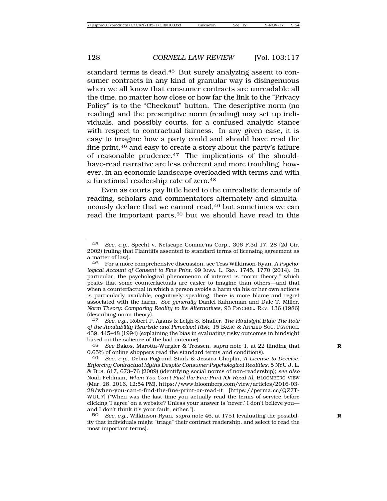standard terms is dead.45 But surely analyzing assent to consumer contracts in any kind of granular way is disingenuous when we all know that consumer contracts are unreadable all the time, no matter how close or how far the link to the "Privacy Policy" is to the "Checkout" button. The descriptive norm (no reading) and the prescriptive norm (reading) may set up individuals, and possibly courts, for a confused analytic stance with respect to contractual fairness. In any given case, it is easy to imagine how a party could and should have read the fine print,46 and easy to create a story about the party's failure of reasonable prudence.47 The implications of the shouldhave-read narrative are less coherent and more troubling, however, in an economic landscape overloaded with terms and with a functional readership rate of zero.48

Even as courts pay little heed to the unrealistic demands of reading, scholars and commentators alternately and simultaneously declare that we cannot read,<sup>49</sup> but sometimes we can read the important parts,<sup>50</sup> but we should have read in this

<sup>45</sup> *See, e.g.*, Specht v. Netscape Commc'ns Corp., 306 F.3d 17, 28 (2d Cir. 2002) (ruling that Plaintiffs assented to standard terms of licensing agreement as a matter of law).

<sup>46</sup> For a more comprehensive discussion, see Tess Wilkinson-Ryan, *A Psychological Account of Consent to Fine Print*, 99 IOWA. L. REV. 1745, 1770 (2014). In particular, the psychological phenomenon of interest is "norm theory," which posits that some counterfactuals are easier to imagine than others—and that when a counterfactual in which a person avoids a harm via his or her own actions is particularly available, cognitively speaking, there is more blame and regret associated with the harm. *See generally* Daniel Kahneman and Dale T. Miller, *Norm Theory: Comparing Reality to Its Alternatives*, 93 PSYCHOL. REV. 136 (1986) (describing norm theory).

<sup>47</sup> *See, e.g.*, Robert P. Agans & Leigh S. Shaffer, *The Hindsight Bias: The Role of the Availability Heuristic and Perceived Risk*, 15 BASIC & APPLIED SOC. PSYCHOL. 439, 445–48 (1994) (explaining the bias in evaluating risky outcomes in hindsight based on the salience of the bad outcome).

<sup>48</sup> *See* Bakos, Marotta-Wurgler & Trossen, *supra* note 1, at 22 (finding that **R** 0.65% of online shoppers read the standard terms and conditions).

<sup>49</sup> *See, e.g.*, Debra Pogrund Stark & Jessica Choplin, *A License to Deceive: Enforcing Contractual Myths Despite Consumer Psychological Realities*, 5 NYU J. L. & BUS. 617, 673–76 (2009) (identifying social norms of non-readership); *see also* Noah Feldman, *When You Can't Find the Fine Print (Or Read It)*, BLOOMBERG VIEW (Mar. 28, 2016, 12:54 PM), https://www.bloomberg.com/view/articles/2016-03- 28/when-you-can-t-find-the-fine-print-or-read-it [https://perma.cc/QZ7T-WUU7] ("When was the last time you actually read the terms of service before clicking 'I agree' on a website? Unless your answer is 'never,' I don't believe you and I don't think it's your fault, either.").

<sup>50</sup> *See, e.g.*, Wilkinson-Ryan, *supra* note 46, at 1751 (evaluating the possibil- **R** ity that individuals might "triage" their contract readership, and select to read the most important terms).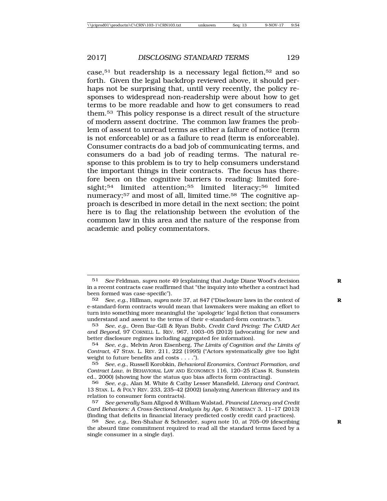case,<sup>51</sup> but readership is a necessary legal fiction,<sup>52</sup> and so forth. Given the legal backdrop reviewed above, it should perhaps not be surprising that, until very recently, the policy responses to widespread non-readership were about how to get terms to be more readable and how to get consumers to read them.53 This policy response is a direct result of the structure of modern assent doctrine. The common law frames the problem of assent to unread terms as either a failure of notice (term is not enforceable) or as a failure to read (term is enforceable). Consumer contracts do a bad job of communicating terms, and consumers do a bad job of reading terms. The natural response to this problem is to try to help consumers understand the important things in their contracts. The focus has therefore been on the cognitive barriers to reading: limited foresight;<sup>54</sup> limited attention;<sup>55</sup> limited literacy;<sup>56</sup> limited numeracy;57 and most of all, limited time.58 The cognitive approach is described in more detail in the next section; the point here is to flag the relationship between the evolution of the common law in this area and the nature of the response from academic and policy commentators.

<sup>51</sup> *See* Feldman, *supra* note 49 (explaining that Judge Diane Wood's decision **R** in a recent contracts case reaffirmed that "the inquiry into whether a contract had been formed was case-specific").

<sup>52</sup> *See, e.g.*, Hillman, *supra* note 37, at 847 ("Disclosure laws in the context of **R** e-standard-form contracts would mean that lawmakers were making an effort to turn into something more meaningful the 'apologetic' legal fiction that consumers understand and assent to the terms of their e-standard-form contracts.").

<sup>53</sup> *See, e.g.*, Oren Bar-Gill & Ryan Bubb, *Credit Card Pricing: The CARD Act and Beyond*, 97 CORNELL L. REV. 967, 1003–05 (2012) (advocating for new and better disclosure regimes including aggregated fee information).

<sup>54</sup> *See, e.g.*, Melvin Aron Eisenberg, *The Limits of Cognition and the Limits of Contract*, 47 STAN. L. REV. 211, 222 (1995) ("Actors systematically give too light weight to future benefits and costs . . . .").

<sup>55</sup> *See, e.g.*, Russell Korobkin, *Behavioral Economics, Contract Formation, and Contract Law*, *in* BEHAVIORAL LAW AND ECONOMICS 116, 120–25 (Cass R. Sunstein ed., 2000) (showing how the status quo bias affects form contracting).

<sup>56</sup> *See, e.g.*, Alan M. White & Cathy Lesser Mansfield, *Literacy and Contract*, 13 STAN. L. & POL'Y REV. 233, 235–42 (2002) (analyzing American illiteracy and its relation to consumer form contracts).

<sup>57</sup> *See generally* Sam Allgood & William Walstad, *Financial Literacy and Credit Card Behaviors: A Cross-Sectional Analysis by Age*, 6 NUMERACY 3, 11–17 (2013) (finding that deficits in financial literacy predicted costly credit card practices).

<sup>58</sup> *See, e.g.*, Ben-Shahar & Schneider, *supra* note 10, at 705–09 (describing **R** the absurd time commitment required to read all the standard terms faced by a single consumer in a single day).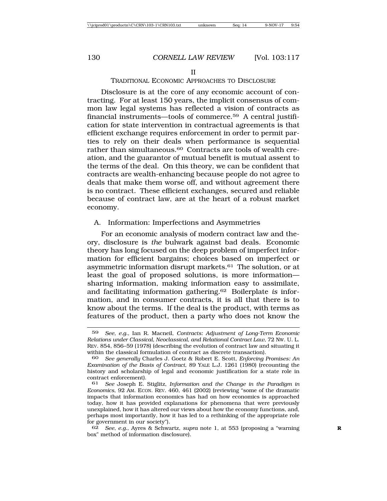#### TRADITIONAL ECONOMIC APPROACHES TO DISCLOSURE

Disclosure is at the core of any economic account of contracting. For at least 150 years, the implicit consensus of common law legal systems has reflected a vision of contracts as financial instruments—tools of commerce.59 A central justification for state intervention in contractual agreements is that efficient exchange requires enforcement in order to permit parties to rely on their deals when performance is sequential rather than simultaneous.<sup>60</sup> Contracts are tools of wealth creation, and the guarantor of mutual benefit is mutual assent to the terms of the deal. On this theory, we can be confident that contracts are wealth-enhancing because people do not agree to deals that make them worse off, and without agreement there is no contract. These efficient exchanges, secured and reliable because of contract law, are at the heart of a robust market economy.

#### A. Information: Imperfections and Asymmetries

For an economic analysis of modern contract law and theory, disclosure is *the* bulwark against bad deals. Economic theory has long focused on the deep problem of imperfect information for efficient bargains; choices based on imperfect or asymmetric information disrupt markets.61 The solution, or at least the goal of proposed solutions, is more information sharing information, making information easy to assimilate, and facilitating information gathering.62 Boilerplate *is* information, and in consumer contracts, it is all that there is to know about the terms. If the deal is the product, with terms as features of the product, then a party who does not know the

62 *See, e.g.*, Ayres & Schwartz, *supra* note 1, at 553 (proposing a "warning **R** box" method of information disclosure).

<sup>59</sup> *See, e.g.*, Ian R. Macneil, *Contracts: Adjustment of Long-Term Economic Relations under Classical, Neoclassical, and Relational Contract Law*, 72 NW. U. L. REV. 854, 856–59 (1978) (describing the evolution of contract law and situating it within the classical formulation of contract as discrete transaction).

<sup>60</sup> *See generally* Charles J. Goetz & Robert E. Scott, *Enforcing Promises: An Examination of the Basis of Contract*, 89 YALE L.J. 1261 (1980) (recounting the history and scholarship of legal and economic justification for a state role in contract enforcement).

<sup>61</sup> *See* Joseph E. Stiglitz, *Information and the Change in the Paradigm in Economics*, 92 AM. ECON. REV. 460, 461 (2002) (reviewing "some of the dramatic impacts that information economics has had on how economics is approached today, how it has provided explanations for phenomena that were previously unexplained, how it has altered our views about how the economy functions, and, perhaps most importantly, how it has led to a rethinking of the appropriate role for government in our society").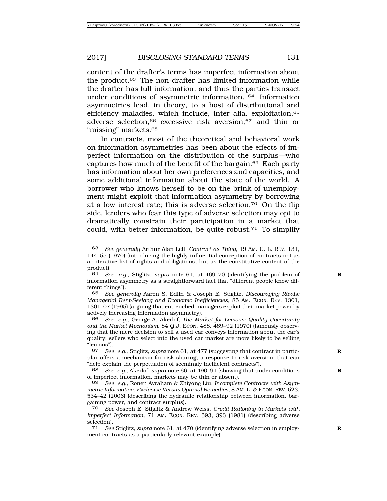content of the drafter's terms has imperfect information about the product.63 The non-drafter has limited information while the drafter has full information, and thus the parties transact under conditions of asymmetric information. 64 Information asymmetries lead, in theory, to a host of distributional and efficiency maladies, which include, inter alia, exploitation, 65 adverse selection,66 excessive risk aversion,67 and thin or "missing" markets.68

In contracts, most of the theoretical and behavioral work on information asymmetries has been about the effects of imperfect information on the distribution of the surplus—who captures how much of the benefit of the bargain.69 Each party has information about her own preferences and capacities, and some additional information about the state of the world. A borrower who knows herself to be on the brink of unemployment might exploit that information asymmetry by borrowing at a low interest rate; this is adverse selection.70 On the flip side, lenders who fear this type of adverse selection may opt to dramatically constrain their participation in a market that could, with better information, be quite robust.71 To simplify

65 *See generally* Aaron S. Edlin & Joseph E. Stiglitz, *Discouraging Rivals: Managerial Rent-Seeking and Economic Inefficiencies*, 85 AM. ECON. REV. 1301, 1301–07 (1995) (arguing that entrenched managers exploit their market power by actively increasing information asymmetry).

66 *See, e.g.*, George A. Akerlof, *The Market for Lemons: Quality Uncertainty and the Market Mechanism*, 84 Q.J. ECON. 488, 489–92 (1970) (famously observing that the mere decision to sell a used car conveys information about the car's quality; sellers who select into the used car market are more likely to be selling "lemons").

<sup>63</sup> *See generally* Arthur Alan Leff, *Contract as Thing*, 19 AM. U. L. REV. 131, 144–55 (1970) (introducing the highly influential conception of contracts not as an iterative list of rights and obligations, but as the constitutive content of the product).

<sup>64</sup> *See, e.g.*, Stiglitz, *supra* note 61, at 469–70 (identifying the problem of **R** information asymmetry as a straightforward fact that "different people know different things").

<sup>67</sup> *See, e.g.*, Stiglitz, *supra* note 61, at 477 (suggesting that contract in partic- **R** ular offers a mechanism for risk-sharing, a response to risk aversion, that can "help explain the perpetuation of seemingly inefficient contracts").

<sup>68</sup> *See, e.g.*, Akerlof, *supra* note 66, at 490–91 (showing that under conditions **R** of imperfect information, markets may be thin or absent).

<sup>69</sup> *See, e.g.*, Ronen Avraham & Zhiyong Liu, *Incomplete Contracts with Asymmetric Information: Exclusive Versus Optimal Remedies,* 8 AM. L. & ECON. REV. 523, 534–42 (2006) (describing the hydraulic relationship between information, bargaining power, and contract surplus).

<sup>70</sup> *See* Joseph E. Stiglitz & Andrew Weiss, *Credit Rationing in Markets with Imperfect Information,* 71 AM. ECON. REV. 393, 393 (1981) (describing adverse selection).<br> $71 \text{ See}$ 

<sup>71</sup> *See* Stiglitz, *supra* note 61, at 470 (identifying adverse selection in employ- **R** ment contracts as a particularly relevant example).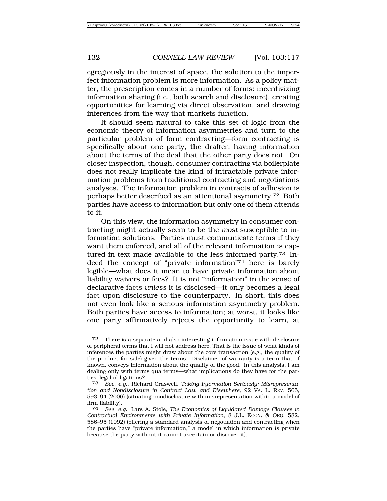egregiously in the interest of space, the solution to the imperfect information problem is more information. As a policy matter, the prescription comes in a number of forms: incentivizing information sharing (i.e., both search and disclosure), creating opportunities for learning via direct observation, and drawing inferences from the way that markets function.

It should seem natural to take this set of logic from the economic theory of information asymmetries and turn to the particular problem of form contracting—form contracting is specifically about one party, the drafter, having information about the terms of the deal that the other party does not. On closer inspection, though, consumer contracting via boilerplate does not really implicate the kind of intractable private information problems from traditional contracting and negotiations analyses. The information problem in contracts of adhesion is perhaps better described as an attentional asymmetry.72 Both parties have access to information but only one of them attends to it.

On this view, the information asymmetry in consumer contracting might actually seem to be the *most* susceptible to information solutions. Parties must communicate terms if they want them enforced, and all of the relevant information is captured in text made available to the less informed party.73 Indeed the concept of "private information"74 here is barely legible—what does it mean to have private information about liability waivers or fees? It is not "information" in the sense of declarative facts *unless* it is disclosed—it only becomes a legal fact upon disclosure to the counterparty. In short, this does not even look like a serious information asymmetry problem. Both parties have access to information; at worst, it looks like one party affirmatively rejects the opportunity to learn, at

<sup>72</sup> There is a separate and also interesting information issue with disclosure of peripheral terms that I will not address here. That is the issue of what kinds of inferences the parties might draw about the core transaction (e.g., the quality of the product for sale) given the terms. Disclaimer of warranty is a term that, if known, conveys information about the quality of the good. In this analysis, I am dealing only with terms qua terms—what implications do they have for the parties' legal obligations?

<sup>73</sup> *See, e.g.*, Richard Craswell, *Taking Information Seriously: Misrepresentation and Nondisclosure in Contract Law and Elsewhere*, 92 VA. L. REV. 565, 593–94 (2006) (situating nondisclosure with misrepresentation within a model of firm liability).

<sup>74</sup> *See, e.g.*, Lars A. Stole, *The Economics of Liquidated Damage Clauses in Contractual Environments with Private Information*, 8 J.L. ECON. & ORG. 582, 586–95 (1992) (offering a standard analysis of negotiation and contracting when the parties have "private information," a model in which information is private because the party without it cannot ascertain or discover it).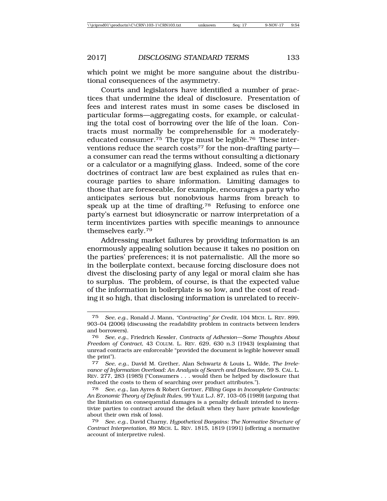which point we might be more sanguine about the distributional consequences of the asymmetry.

Courts and legislators have identified a number of practices that undermine the ideal of disclosure. Presentation of fees and interest rates must in some cases be disclosed in particular forms—aggregating costs, for example, or calculating the total cost of borrowing over the life of the loan. Contracts must normally be comprehensible for a moderatelyeducated consumer.75 The type must be legible.76 These interventions reduce the search costs<sup>77</sup> for the non-drafting party a consumer can read the terms without consulting a dictionary or a calculator or a magnifying glass. Indeed, some of the core doctrines of contract law are best explained as rules that encourage parties to share information. Limiting damages to those that are foreseeable, for example, encourages a party who anticipates serious but nonobvious harms from breach to speak up at the time of drafting.<sup>78</sup> Refusing to enforce one party's earnest but idiosyncratic or narrow interpretation of a term incentivizes parties with specific meanings to announce themselves early.79

Addressing market failures by providing information is an enormously appealing solution because it takes no position on the parties' preferences; it is not paternalistic. All the more so in the boilerplate context, because forcing disclosure does not divest the disclosing party of any legal or moral claim she has to surplus. The problem, of course, is that the expected value of the information in boilerplate is so low, and the cost of reading it so high, that disclosing information is unrelated to receiv-

<sup>75</sup> *See, e.g.*, Ronald J. Mann, *"Contracting" for Credit*, 104 MICH. L. REV. 899, 903–04 (2006) (discussing the readability problem in contracts between lenders and borrowers).

<sup>76</sup> *See, e.g.*, Friedrich Kessler, *Contracts of Adhesion—Some Thoughts About Freedom of Contract*, 43 COLUM. L. REV. 629, 630 n.3 (1943) (explaining that unread contracts are enforceable "provided the document is legible however small the print").

<sup>77</sup> *See, e.g.*, David M. Grether, Alan Schwartz & Louis L. Wilde, *The Irrelevance of Information Overload: An Analysis of Search and Disclosure*, 59 S. CAL. L. REV. 277, 283 (1985) ("Consumers . . . would then be helped by disclosure that reduced the costs to them of searching over product attributes.").

<sup>78</sup> *See, e.g.*, Ian Ayres & Robert Gertner, *Filling Gaps in Incomplete Contracts: An Economic Theory of Default Rules*, 99 YALE L.J. 87, 103–05 (1989) (arguing that the limitation on consequential damages is a penalty default intended to incentivize parties to contract around the default when they have private knowledge about their own risk of loss).

<sup>79</sup> *See, e.g.*, David Charny, *Hypothetical Bargains: The Normative Structure of Contract Interpretation*, 89 MICH. L. REV. 1815, 1819 (1991) (offering a normative account of interpretive rules).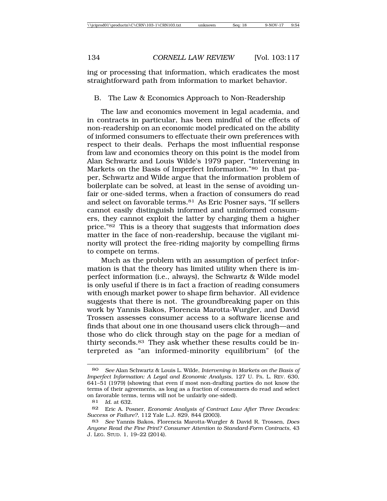ing or processing that information, which eradicates the most straightforward path from information to market behavior.

# B. The Law & Economics Approach to Non-Readership

The law and economics movement in legal academia, and in contracts in particular, has been mindful of the effects of non-readership on an economic model predicated on the ability of informed consumers to effectuate their own preferences with respect to their deals. Perhaps the most influential response from law and economics theory on this point is the model from Alan Schwartz and Louis Wilde's 1979 paper, "Intervening in Markets on the Basis of Imperfect Information."80 In that paper, Schwartz and Wilde argue that the information problem of boilerplate can be solved, at least in the sense of avoiding unfair or one-sided terms, when a fraction of consumers do read and select on favorable terms.81 As Eric Posner says, "If sellers cannot easily distinguish informed and uninformed consumers, they cannot exploit the latter by charging them a higher price."82 This is a theory that suggests that information *does* matter in the face of non-readership, because the vigilant minority will protect the free-riding majority by compelling firms to compete on terms.

Much as the problem with an assumption of perfect information is that the theory has limited utility when there is imperfect information (i.e., always), the Schwartz & Wilde model is only useful if there is in fact a fraction of reading consumers with enough market power to shape firm behavior. All evidence suggests that there is not. The groundbreaking paper on this work by Yannis Bakos, Florencia Marotta-Wurgler, and David Trossen assesses consumer access to a software license and finds that about one in one thousand users click through—and those who do click through stay on the page for a median of thirty seconds.83 They ask whether these results could be interpreted as "an informed-minority equilibrium" (of the

<sup>80</sup> *See* Alan Schwartz & Louis L. Wilde, *Intervening in Markets on the Basis of Imperfect Information: A Legal and Economic Analysis*, 127 U. PA. L. REV. 630, 641–51 (1979) (showing that even if most non-drafting parties do not know the terms of their agreements, as long as a fraction of consumers do read and select on favorable terms, terms will not be unfairly one-sided).

<sup>81</sup> *Id.* at 632.

<sup>82</sup> Eric A. Posner, *Economic Analysis of Contract Law After Three Decades: Success or Failure?*, 112 Yale L.J. 829, 844 (2003).

<sup>83</sup> *See* Yannis Bakos, Florencia Marotta-Wurgler & David R. Trossen, *Does Anyone Read the Fine Print? Consumer Attention to Standard-Form Contracts,* 43 J. LEG. STUD. 1, 19–22 (2014).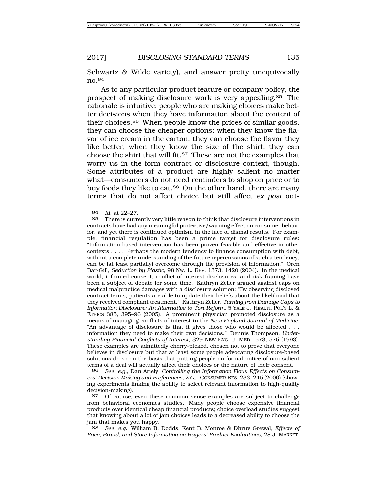Schwartz & Wilde variety), and answer pretty unequivocally no.84

As to any particular product feature or company policy, the prospect of making disclosure work is very appealing.85 The rationale is intuitive: people who are making choices make better decisions when they have information about the content of their choices.86 When people know the prices of similar goods, they can choose the cheaper options; when they know the flavor of ice cream in the carton, they can choose the flavor they like better; when they know the size of the shirt, they can choose the shirt that will fit.87 These are not the examples that worry us in the form contract or disclosure context, though. Some attributes of a product are highly salient no matter what—consumers do not need reminders to shop on price or to buy foods they like to eat.<sup>88</sup> On the other hand, there are many terms that do not affect choice but still affect *ex post* out-

86 *See, e.g.*, Dan Ariely, *Controlling the Information Flow: Effects on Consumers' Decision Making and Preferences*, 27 J. CONSUMER RES. 233, 245 (2000) (showing experiments linking the ability to select relevant information to high-quality decision-making).

88 *See, e.g.*, William B. Dodds, Kent B. Monroe & Dhruv Grewal, *Effects of Price, Brand, and Store Information on Buyers' Product Evaluations*, 28 J. MARKET-

<sup>84</sup> *Id.* at 22–27. There is currently very little reason to think that disclosure interventions in contracts have had any meaningful protective/warning effect on consumer behavior, and yet there is continued optimism in the face of dismal results. For example, financial regulation has been a prime target for disclosure rules: "Information-based intervention has been proven feasible and effective in other contexts . . . . Perhaps the modern tendency to finance consumption with debt, without a complete understanding of the future repercussions of such a tendency, can be (at least partially) overcome through the provision of information." Oren Bar-Gill, *Seduction by Plastic*, 98 NW. L. REV. 1373, 1420 (2004). In the medical world, informed consent, conflict of interest disclosures, and risk framing have been a subject of debate for some time. Kathryn Zeiler argued against caps on medical malpractice damages with a disclosure solution: "By observing disclosed contract terms, patients are able to update their beliefs about the likelihood that they received compliant treatment." Kathryn Zeiler, *Turning from Damage Caps to Information Disclosure: An Alternative to Tort Reform*, 5 YALE J. HEALTH POL'Y L. & ETHICS 385, 395–96 (2005). A prominent physician promoted disclosure as a means of managing conflicts of interest in the *New England Journal of Medicine*: "An advantage of disclosure is that it gives those who would be affected . . . information they need to make their own decisions." Dennis Thompson, *Understanding Financial Conflicts of Interest*, 329 NEW ENG. J. MED. 573, 575 (1993). These examples are admittedly cherry-picked, chosen not to prove that everyone believes in disclosure but that at least some people advocating disclosure-based solutions do so on the basis that putting people on formal notice of non-salient terms of a deal will actually affect their choices or the nature of their consent.

<sup>87</sup> Of course, even these common sense examples are subject to challenge from behavioral economics studies. Many people choose expensive financial products over identical cheap financial products; choice overload studies suggest that knowing about a lot of jam choices leads to a decreased ability to choose the jam that makes you happy.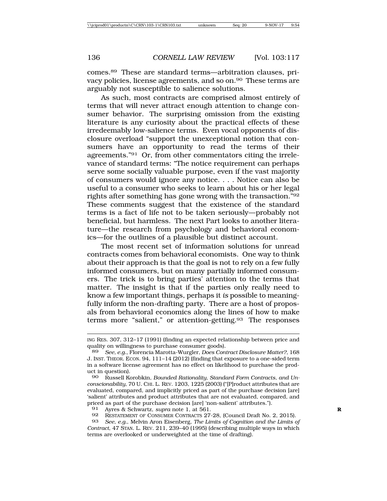comes.89 These are standard terms—arbitration clauses, privacy policies, license agreements, and so on.<sup>90</sup> These terms are arguably not susceptible to salience solutions.

As such, most contracts are comprised almost entirely of terms that will never attract enough attention to change consumer behavior. The surprising omission from the existing literature is any curiosity about the practical effects of these irredeemably low-salience terms. Even vocal opponents of disclosure overload "support the unexceptional notion that consumers have an opportunity to read the terms of their agreements."91 Or, from other commentators citing the irrelevance of standard terms: "The notice requirement can perhaps serve some socially valuable purpose, even if the vast majority of consumers would ignore any notice. . . . Notice can also be useful to a consumer who seeks to learn about his or her legal rights after something has gone wrong with the transaction."92 These comments suggest that the existence of the standard terms is a fact of life not to be taken seriously—probably not beneficial, but harmless. The next Part looks to another literature—the research from psychology and behavioral economics—for the outlines of a plausible but distinct account.

The most recent set of information solutions for unread contracts comes from behavioral economists. One way to think about their approach is that the goal is not to rely on a few fully informed consumers, but on many partially informed consumers. The trick is to bring parties' attention to the terms that matter. The insight is that if the parties only really need to know a few important things, perhaps it *is* possible to meaningfully inform the non-drafting party. There are a host of proposals from behavioral economics along the lines of how to make terms more "salient," or attention-getting.93 The responses

92 RESTATEMENT OF CONSUMER CONTRACTS 27-28, (Council Draft No. 2, 2015).

ING RES. 307, 312–17 (1991) (finding an expected relationship between price and quality on willingness to purchase consumer goods)*.* <sup>89</sup> *See, e.g.*, Florencia Marotta-Wurgler, *Does Contract Disclosure Matter?*, 168

J. INST. THEOR. ECON. 94, 111–14 (2012) (finding that exposure to a one-sided term in a software license agreement has no effect on likelihood to purchase the product in question).<br>90 Russell  $K_0$ 

<sup>90</sup> Russell Korobkin, *Bounded Rationality, Standard Form Contracts, and Unconscionability*, 70 U. CHI. L. REV. 1203, 1225 (2003) ("[P]roduct attributes that are evaluated, compared, and implicitly priced as part of the purchase decision [are] 'salient' attributes and product attributes that are not evaluated, compared, and priced as part of the purchase decision [are] 'non-salient' attributes.").

<sup>91</sup> Ayres & Schwartz, *supra* note 1, at 561. **R**

<sup>93</sup> *See, e.g.*, Melvin Aron Eisenberg, *The Limits of Cognition and the Limits of Contract*, 47 STAN. L. REV. 211, 239–40 (1995) (describing multiple ways in which terms are overlooked or underweighted at the time of drafting).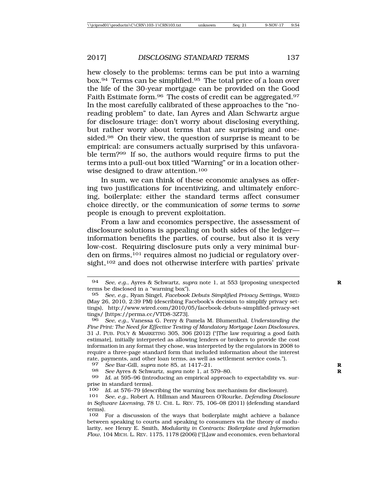hew closely to the problems: terms can be put into a warning box.94 Terms can be simplified.95 The total price of a loan over the life of the 30-year mortgage can be provided on the Good Faith Estimate form.<sup>96</sup> The costs of credit can be aggregated.<sup>97</sup> In the most carefully calibrated of these approaches to the "noreading problem" to date, Ian Ayres and Alan Schwartz argue for disclosure triage: don't worry about disclosing everything, but rather worry about terms that are surprising and onesided.98 On their view, the question of surprise is meant to be empirical: are consumers actually surprised by this unfavorable term?99 If so, the authors would require firms to put the terms into a pull-out box titled "Warning" or in a location otherwise designed to draw attention.100

In sum, we can think of these economic analyses as offering two justifications for incentivizing, and ultimately enforcing, boilerplate: either the standard terms affect consumer choice directly, or the communication of *some* terms to *some* people is enough to prevent exploitation.

From a law and economics perspective, the assessment of disclosure solutions is appealing on both sides of the ledger information benefits the parties, of course, but also it is very low-cost. Requiring disclosure puts only a very minimal burden on firms,<sup>101</sup> requires almost no judicial or regulatory oversight,<sup>102</sup> and does not otherwise interfere with parties' private

<sup>94</sup> *See, e.g.*, Ayres & Schwartz, *supra* note 1, at 553 (proposing unexpected **R** terms be disclosed in a "warning box").

<sup>95</sup> *See, e.g.*, Ryan Singel, *Facebook Debuts Simplified Privacy Settings*, WIRED (May 26, 2010, 2:39 PM) (describing Facebook's decision to simplify privacy settings), http://www.wired.com/2010/05/facebook-debuts-simplified-privacy-set tings/ [https://perma.cc/VTD8-3Z73].

<sup>96</sup> *See, e.g.*, Vanessa G. Perry & Pamela M. Blumenthal, *Understanding the Fine Print: The Need for Effective Testing of Mandatory Mortgage Loan Disclosures*, 31 J. PUB. POL'Y & MARKETING 305, 306 (2012) ("[The law requiring a good faith estimate], initially interpreted as allowing lenders or brokers to provide the cost information in any format they chose, was interpreted by the regulators in 2008 to require a three-page standard form that included information about the interest rate, payments, and other loan terms, as well as settlement service costs.").

<sup>97</sup> *See* Bar-Gill, *supra* note 85, at 1417–21. **R**

<sup>98</sup> *See* Ayres & Schwartz, *supra* note 1, at 579–80. **R**

Id. at 595-96 (introducing an empirical approach to expectability vs. surprise in standard terms).

<sup>100</sup> *Id.* at 576–79 (describing the warning box mechanism for disclosure).<br>101 *See, e.g.*, Robert A. Hillman and Maureen O'Rourke, Defending Disclosure

<sup>101</sup> *See, e.g.*, Robert A. Hillman and Maureen O'Rourke, *Defending Disclosure in Software Licensing*, 78 U. CHI. L. REV. 75, 106–08 (2011) (defending standard terms).<br> $102$ 

<sup>102</sup> For a discussion of the ways that boilerplate might achieve a balance between speaking to courts and speaking to consumers via the theory of modularity, see Henry E. Smith, *Modularity in Contracts: Boilerplate and Information Flow*, 104 MICH. L. REV. 1175, 1178 (2006) ("[L]aw and economics, even behavioral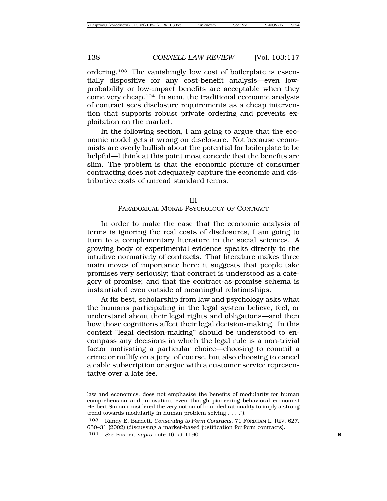ordering.103 The vanishingly low cost of boilerplate is essentially dispositive for any cost-benefit analysis—even lowprobability or low-impact benefits are acceptable when they come very cheap.104 In sum, the traditional economic analysis of contract sees disclosure requirements as a cheap intervention that supports robust private ordering and prevents exploitation on the market.

In the following section, I am going to argue that the economic model gets it wrong on disclosure. Not because economists are overly bullish about the potential for boilerplate to be helpful—I think at this point most concede that the benefits are slim. The problem is that the economic picture of consumer contracting does not adequately capture the economic and distributive costs of unread standard terms.

#### III PARADOXICAL MORAL PSYCHOLOGY OF CONTRACT

In order to make the case that the economic analysis of terms is ignoring the real costs of disclosures, I am going to turn to a complementary literature in the social sciences. A growing body of experimental evidence speaks directly to the intuitive normativity of contracts. That literature makes three main moves of importance here: it suggests that people take promises very seriously; that contract is understood as a category of promise; and that the contract-as-promise schema is instantiated even outside of meaningful relationships.

At its best, scholarship from law and psychology asks what the humans participating in the legal system believe, feel, or understand about their legal rights and obligations—and then how those cognitions affect their legal decision-making. In this context "legal decision-making" should be understood to encompass any decisions in which the legal rule is a non-trivial factor motivating a particular choice—choosing to commit a crime or nullify on a jury, of course, but also choosing to cancel a cable subscription or argue with a customer service representative over a late fee.

law and economics, does not emphasize the benefits of modularity for human comprehension and innovation, even though pioneering behavioral economist Herbert Simon considered the very notion of bounded rationality to imply a strong trend towards modularity in human problem solving . . . .").

<sup>103</sup> Randy E. Barnett, *Consenting to Form Contracts*, 71 FORDHAM L. REV. 627, 630–31 (2002) (discussing a market-based justification for form contracts).

<sup>104</sup> *See* Posner, *supra* note 16, at 1190. **R**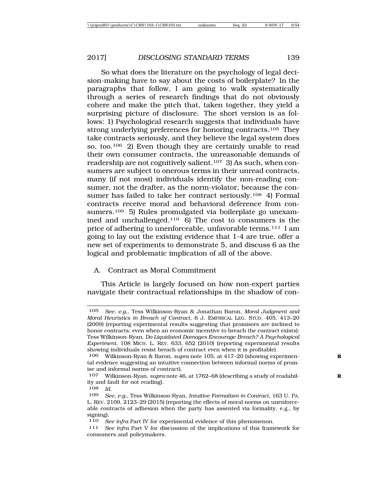So what does the literature on the psychology of legal decision-making have to say about the costs of boilerplate? In the paragraphs that follow, I am going to walk systematically through a series of research findings that do not obviously cohere and make the pitch that, taken together, they yield a surprising picture of disclosure. The short version is as follows: 1) Psychological research suggests that individuals have strong underlying preferences for honoring contracts.<sup>105</sup> They take contracts seriously, and they believe the legal system does so, too.106 2) Even though they are certainly unable to read their own consumer contracts, the unreasonable demands of readership are not cognitively salient.107 3) As such, when consumers are subject to onerous terms in their unread contracts, many (if not most) individuals identify the non-reading consumer, not the drafter, as the norm-violator, because the consumer has failed to take her contract seriously.<sup>108</sup> 4) Formal contracts receive moral and behavioral deference from consumers.109 5) Rules promulgated via boilerplate go unexamined and unchallenged.110 6) The cost to consumers is the price of adhering to unenforceable, unfavorable terms.111 I am going to lay out the existing evidence that 1-4 are true, offer a new set of experiments to demonstrate 5, and discuss 6 as the logical and problematic implication of all of the above.

# A. Contract as Moral Commitment

This Article is largely focused on how non-expert parties navigate their contractual relationships in the shadow of con-

<sup>105</sup> *See, e.g.*, Tess Wilkinson-Ryan & Jonathan Baron*, Moral Judgment and Moral Heuristics in Breach of Contract*, 6 J. EMPIRICAL LEG. STUD. 405, 413–20 (2009) (reporting experimental results suggesting that promisors are inclined to honor contracts, even when an economic incentive to breach the contract exists); Tess Wilkinson-Ryan, *Do Liquidated Damages Encourage Breach? A Psychological Experiment*, 108 MICH. L. REV. 633, 652 (2010) (reporting experimental results showing individuals resist breach of contract even when it is profitable).

<sup>106</sup> Wilkinson-Ryan & Baron*, supra* note 105, at 417–20 (showing experimen- **R** tal evidence suggesting an intuitive connection between informal norms of promise and informal norms of contract).

<sup>107</sup> Wilkinson-Ryan, *supra* note 46, at 1762–68 (describing a study of readabil- **R** ity and fault for not reading).

<sup>108</sup> *Id.*

<sup>109</sup> *See, e.g.*, Tess Wilkinson-Ryan, *Intuitive Formalism in Contract*, 163 U. PA. L. REV. 2109, 2123–29 (2015) (reporting the effects of moral norms on unenforceable contracts of adhesion when the party has assented via formality, e.g., by signing).

<sup>110</sup> *See infra* Part IV for experimental evidence of this phenomenon.

<sup>111</sup> *See infra* Part V for discussion of the implications of this framework for consumers and policymakers.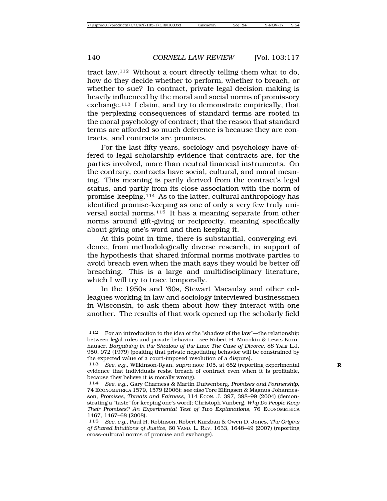tract law.112 Without a court directly telling them what to do, how do they decide whether to perform, whether to breach, or whether to sue? In contract, private legal decision-making is heavily influenced by the moral and social norms of promissory exchange.113 I claim, and try to demonstrate empirically, that the perplexing consequences of standard terms are rooted in the moral psychology of contract; that the reason that standard terms are afforded so much deference is because they are contracts, and contracts are promises.

For the last fifty years, sociology and psychology have offered to legal scholarship evidence that contracts are, for the parties involved, more than neutral financial instruments. On the contrary, contracts have social, cultural, and moral meaning. This meaning is partly derived from the contract's legal status, and partly from its close association with the norm of promise-keeping.114 As to the latter, cultural anthropology has identified promise-keeping as one of only a very few truly universal social norms.115 It has a meaning separate from other norms around gift-giving or reciprocity, meaning specifically about giving one's word and then keeping it.

At this point in time, there is substantial, converging evidence, from methodologically diverse research, in support of the hypothesis that shared informal norms motivate parties to avoid breach even when the math says they would be better off breaching. This is a large and multidisciplinary literature, which I will try to trace temporally.

In the 1950s and '60s, Stewart Macaulay and other colleagues working in law and sociology interviewed businessmen in Wisconsin, to ask them about how they interact with one another. The results of that work opened up the scholarly field

<sup>112</sup> For an introduction to the idea of the "shadow of the law"—the relationship between legal rules and private behavior—see Robert H. Mnookin & Lewis Kornhauser, *Bargaining in the Shadow of the Law: The Case of Divorce*, 88 YALE L.J. 950, 972 (1979) (positing that private negotiating behavior will be constrained by the expected value of a court-imposed resolution of a dispute).

<sup>113</sup> *See, e.g.*, Wilkinson-Ryan, *supra* note 105, at 652 (reporting experimental **R** evidence that individuals resist breach of contract even when it is profitable, because they believe it is morally wrong).<br>114 See, e.g., Gary Charness & Martin

<sup>114</sup> *See, e.g.*, Gary Charness & Martin Dufwenberg, *Promises and Partnership*, 74 ECONOMETRICA 1579, 1579 (2006); *see also* Tore Ellingsen & Magnus Johannesson, *Promises, Threats and Fairness*, 114 ECON. J. 397, 398–99 (2004) (demonstrating a "taste" for keeping one's word); Christoph Vanberg, *Why Do People Keep Their Promises? An Experimental Test of Two Explanations*, 76 ECONOMETRICA 1467, 1467–68 (2008).

<sup>115</sup> *See, e.g.*, Paul H. Robinson, Robert Kurzban & Owen D. Jones, *The Origins of Shared Intuitions of Justice*, 60 VAND. L. REV. 1633, 1648–49 (2007) (reporting cross-cultural norms of promise and exchange).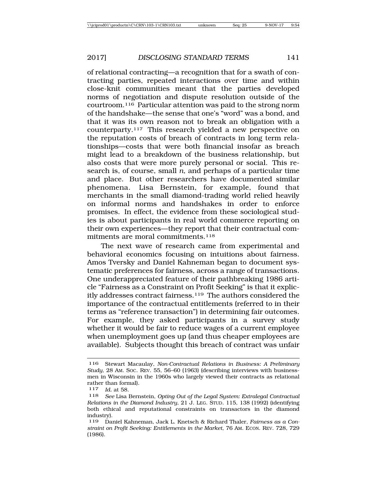of relational contracting—a recognition that for a swath of contracting parties, repeated interactions over time and within close-knit communities meant that the parties developed norms of negotiation and dispute resolution outside of the courtroom.116 Particular attention was paid to the strong norm of the handshake—the sense that one's "word" was a bond, and that it was its own reason not to break an obligation with a counterparty.117 This research yielded a new perspective on the reputation costs of breach of contracts in long term relationships—costs that were both financial insofar as breach might lead to a breakdown of the business relationship, but also costs that were more purely personal or social. This research is, of course, small *n*, and perhaps of a particular time and place. But other researchers have documented similar phenomena. Lisa Bernstein, for example, found that merchants in the small diamond-trading world relied heavily on informal norms and handshakes in order to enforce promises. In effect, the evidence from these sociological studies is about participants in real world commerce reporting on their own experiences—they report that their contractual commitments are moral commitments.118

The next wave of research came from experimental and behavioral economics focusing on intuitions about fairness. Amos Tversky and Daniel Kahneman began to document systematic preferences for fairness, across a range of transactions. One underappreciated feature of their pathbreaking 1986 article "Fairness as a Constraint on Profit Seeking" is that it explicitly addresses contract fairness.<sup>119</sup> The authors considered the importance of the contractual entitlements (referred to in their terms as "reference transaction") in determining fair outcomes. For example, they asked participants in a survey study whether it would be fair to reduce wages of a current employee when unemployment goes up (and thus cheaper employees are available). Subjects thought this breach of contract was unfair

<sup>116</sup> Stewart Macaulay, *Non-Contractual Relations in Business: A Preliminary Study*, 28 AM. SOC. REV. 55, 56–60 (1963) (describing interviews with businessmen in Wisconsin in the 1960s who largely viewed their contracts as relational rather than formal).<br> $\frac{117}{10}$  at 58

*Id.* at 58.

<sup>118</sup> *See* Lisa Bernstein, *Opting Out of the Legal System: Extralegal Contractual Relations in the Diamond Industry*, 21 J. LEG. STUD. 115, 138 (1992) (identifying both ethical and reputational constraints on transactors in the diamond industry).

<sup>119</sup> Daniel Kahneman, Jack L. Knetsch & Richard Thaler, *Fairness as a Constraint on Profit Seeking: Entitlements in the Market*, 76 AM. ECON. REV. 728, 729 (1986).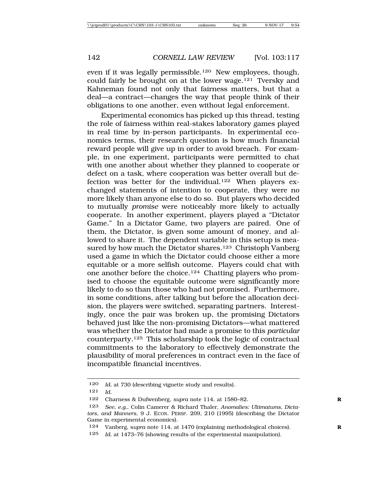even if it was legally permissible.120 New employees, though, could fairly be brought on at the lower wage.121 Tversky and Kahneman found not only that fairness matters, but that a deal—a contract—changes the way that people think of their obligations to one another, even without legal enforcement.

Experimental economics has picked up this thread, testing the role of fairness within real-stakes laboratory games played in real time by in-person participants. In experimental economics terms, their research question is how much financial reward people will give up in order to avoid breach. For example, in one experiment, participants were permitted to chat with one another about whether they planned to cooperate or defect on a task, where cooperation was better overall but defection was better for the individual.122 When players exchanged statements of intention to cooperate, they were no more likely than anyone else to do so. But players who decided to mutually *promise* were noticeably more likely to actually cooperate. In another experiment, players played a "Dictator Game." In a Dictator Game, two players are paired. One of them, the Dictator, is given some amount of money, and allowed to share it. The dependent variable in this setup is measured by how much the Dictator shares.<sup>123</sup> Christoph Vanberg used a game in which the Dictator could choose either a more equitable or a more selfish outcome. Players could chat with one another before the choice.124 Chatting players who promised to choose the equitable outcome were significantly more likely to do so than those who had not promised. Furthermore, in some conditions, after talking but before the allocation decision, the players were switched, separating partners. Interestingly, once the pair was broken up, the promising Dictators behaved just like the non-promising Dictators—what mattered was whether the Dictator had made a promise to this *particular* counterparty.125 This scholarship took the logic of contractual commitments to the laboratory to effectively demonstrate the plausibility of moral preferences in contract even in the face of incompatible financial incentives.

<sup>120</sup> *Id.* at 730 (describing vignette study and results).

<sup>121</sup> *Id.*

<sup>122</sup> Charness & Dufwenberg, *supra* note 114, at 1580–82. **R**

<sup>123</sup> *See, e.g.*, Colin Camerer & Richard Thaler, *Anomalies: Ultimatums, Dictators, and Manners*, 9 J. ECON. PERSP. 209, 210 (1995) (describing the Dictator Game in experimental economics).

<sup>124</sup> Vanberg, s*upra* note 114, at 1470 (explaining methodological choices). **R**

<sup>125</sup> *Id.* at 1473–76 (showing results of the experimental manipulation).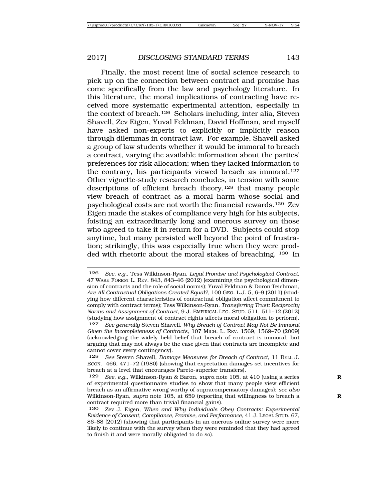Finally, the most recent line of social science research to pick up on the connection between contract and promise has come specifically from the law and psychology literature. In this literature, the moral implications of contracting have received more systematic experimental attention, especially in the context of breach.126 Scholars including, inter alia, Steven Shavell, Zev Eigen, Yuval Feldman, David Hoffman, and myself have asked non-experts to explicitly or implicitly reason through dilemmas in contract law. For example, Shavell asked a group of law students whether it would be immoral to breach a contract, varying the available information about the parties' preferences for risk allocation; when they lacked information to the contrary, his participants viewed breach as immoral.127 Other vignette-study research concludes, in tension with some descriptions of efficient breach theory,<sup>128</sup> that many people view breach of contract as a moral harm whose social and psychological costs are not worth the financial rewards.129 Zev Eigen made the stakes of compliance very high for his subjects, foisting an extraordinarily long and onerous survey on those who agreed to take it in return for a DVD. Subjects could stop anytime, but many persisted well beyond the point of frustration; strikingly, this was especially true when they were prodded with rhetoric about the moral stakes of breaching. 130 In

<sup>126</sup> *See, e.g.*, Tess Wilkinson-Ryan, *Legal Promise and Psychological Contract*, 47 WAKE FOREST L. REV. 843, 843–46 (2012) (examining the psychological dimension of contracts and the role of social norms); Yuval Feldman & Doron Teichman, *Are All Contractual Obligations Created Equal?*, 100 GEO. L.J. 5, 6–9 (2011) (studying how different characteristics of contractual obligation affect commitment to comply with contract terms); Tess Wilkinson-Ryan, *Transferring Trust: Reciprocity Norms and Assignment of Contract*, 9 J. EMPIRICAL LEG. STUD. 511, 511–12 (2012) (studying how assignment of contract rights affects moral obligation to perform).

<sup>127</sup> *See generally* Steven Shavell, *Why Breach of Contract May Not Be Immoral Given the Incompleteness of Contracts*, 107 MICH. L. REV. 1569, 1569–70 (2009) (acknowledging the widely held belief that breach of contract is immoral, but arguing that may not always be the case given that contracts are incomplete and cannot cover every contingency).

<sup>128</sup> *See* Steven Shavell, *Damage Measures for Breach of Contract*, 11 BELL J. ECON. 466, 471–72 (1980) (showing that expectation damages set incentives for breach at a level that encourages Pareto-superior transfers).

<sup>129</sup> *See, e.g.*, Wilkinson-Ryan & Baron, *supra* note 105, at 410 (using a series **R** of experimental questionnaire studies to show that many people view efficient breach as an affirmative wrong worthy of supracompensatory damages); *see also* Wilkinson-Ryan, *supra* note 105, at 659 (reporting that willingness to breach a **R** contract required more than trivial financial gains).

<sup>130</sup> Zev J. Eigen, *When and Why Individuals Obey Contracts: Experimental Evidence of Consent, Compliance, Promise, and Performance*, 41 J. LEGAL STUD. 67, 86–88 (2012) (showing that participants in an onerous online survey were more likely to continue with the survey when they were reminded that they had agreed to finish it and were morally obligated to do so).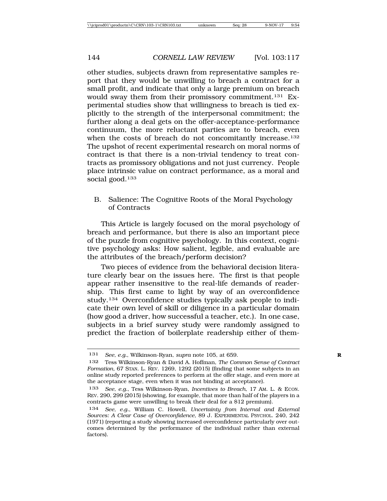other studies, subjects drawn from representative samples report that they would be unwilling to breach a contract for a small profit, and indicate that only a large premium on breach would sway them from their promissory commitment.131 Experimental studies show that willingness to breach is tied explicitly to the strength of the interpersonal commitment; the further along a deal gets on the offer-acceptance-performance continuum, the more reluctant parties are to breach, even when the costs of breach do not concomitantly increase.<sup>132</sup> The upshot of recent experimental research on moral norms of contract is that there is a non-trivial tendency to treat contracts as promissory obligations and not just currency. People place intrinsic value on contract performance, as a moral and social good.<sup>133</sup>

B. Salience: The Cognitive Roots of the Moral Psychology of Contracts

This Article is largely focused on the moral psychology of breach and performance, but there is also an important piece of the puzzle from cognitive psychology. In this context, cognitive psychology asks: How salient, legible, and evaluable are the attributes of the breach/perform decision?

Two pieces of evidence from the behavioral decision literature clearly bear on the issues here. The first is that people appear rather insensitive to the real-life demands of readership. This first came to light by way of an overconfidence study.134 Overconfidence studies typically ask people to indicate their own level of skill or diligence in a particular domain (how good a driver, how successful a teacher, etc.). In one case, subjects in a brief survey study were randomly assigned to predict the fraction of boilerplate readership either of them-

<sup>131</sup> *See, e.g.*, Wilkinson-Ryan, *supra* note 105, at 659. **R**

<sup>132</sup> Tess Wilkinson-Ryan & David A. Hoffman, *The Common Sense of Contract Formation*, 67 STAN. L. REV. 1269, 1292 (2015) (finding that some subjects in an online study reported preferences to perform at the offer stage, and even more at the acceptance stage, even when it was not binding at acceptance).

<sup>133</sup> *See, e.g.*, Tess Wilkinson-Ryan, *Incentives to Breach*, 17 AM. L. & ECON. REV. 290, 299 (2015) (showing, for example, that more than half of the players in a contracts game were unwilling to break their deal for a \$12 premium).

<sup>134</sup> *See, e.g.*, William C. Howell, *Uncertainty from Internal and External Sources: A Clear Case of Overconfidence*, 89 J. EXPERIMENTAL PSYCHOL. 240, 242 (1971) (reporting a study showing increased overconfidence particularly over outcomes determined by the performance of the individual rather than external factors).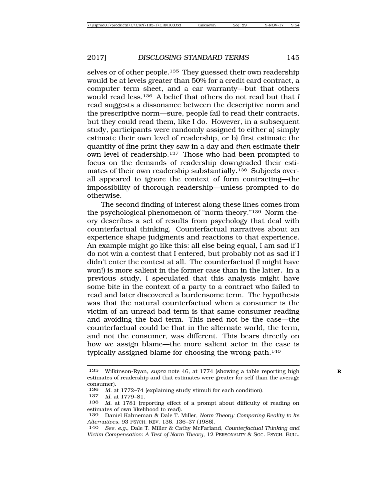selves or of other people.135 They guessed their own readership would be at levels greater than 50% for a credit card contract, a computer term sheet, and a car warranty—but that others would read less.136 A belief that others do not read but that *I* read suggests a dissonance between the descriptive norm and the prescriptive norm—sure, people fail to read their contracts, but they could read them, like I do. However, in a subsequent study, participants were randomly assigned to either a) simply estimate their own level of readership, or b) first estimate the quantity of fine print they saw in a day and *then* estimate their own level of readership.137 Those who had been prompted to focus on the demands of readership downgraded their estimates of their own readership substantially.<sup>138</sup> Subjects overall appeared to ignore the context of form contracting—the impossibility of thorough readership—unless prompted to do otherwise.

The second finding of interest along these lines comes from the psychological phenomenon of "norm theory."139 Norm theory describes a set of results from psychology that deal with counterfactual thinking. Counterfactual narratives about an experience shape judgments and reactions to that experience. An example might go like this: all else being equal, I am sad if I do not win a contest that I entered, but probably not as sad if I didn't enter the contest at all. The counterfactual (I might have won!) is more salient in the former case than in the latter. In a previous study, I speculated that this analysis might have some bite in the context of a party to a contract who failed to read and later discovered a burdensome term. The hypothesis was that the natural counterfactual when a consumer is the victim of an unread bad term is that same consumer reading and avoiding the bad term. This need not be the case—the counterfactual could be that in the alternate world, the term, and not the consumer, was different. This bears directly on how we assign blame—the more salient actor in the case is typically assigned blame for choosing the wrong path.140

<sup>135</sup> Wilkinson-Ryan, *supra* note 46, at 1774 (showing a table reporting high **R** estimates of readership and that estimates were greater for self than the average consumer).

<sup>136</sup> *Id.* at 1772–74 (explaining study stimuli for each condition).<br>137 *Id.* at 1779–81

<sup>137</sup> *Id.* at 1779–81.<br>138 *Id.* at 1781 (re

Id. at 1781 (reporting effect of a prompt about difficulty of reading on estimates of own likelihood to read).

<sup>139</sup> Daniel Kahneman & Dale T. Miller, *Norm Theory: Comparing Reality to Its Alternatives*, 93 PSYCH. REV. 136, 136–37 (1986).

<sup>140</sup> *See, e.g.*, Dale T. Miller & Cathy McFarland, *Counterfactual Thinking and Victim Compensation: A Test of Norm Theory*, 12 PERSONALITY & SOC. PSYCH. BULL.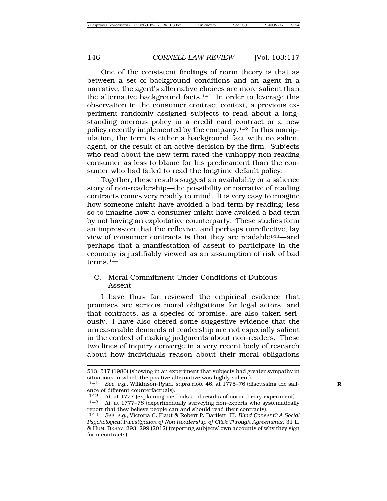One of the consistent findings of norm theory is that as between a set of background conditions and an agent in a narrative, the agent's alternative choices are more salient than the alternative background facts.141 In order to leverage this observation in the consumer contract context, a previous experiment randomly assigned subjects to read about a longstanding onerous policy in a credit card contract or a new policy recently implemented by the company.<sup>142</sup> In this manipulation, the term is either a background fact with no salient agent, or the result of an active decision by the firm. Subjects who read about the new term rated the unhappy non-reading consumer as less to blame for his predicament than the consumer who had failed to read the longtime default policy.

Together, these results suggest an availability or a salience story of non-readership—the possibility or narrative of reading contracts comes very readily to mind. It is very easy to imagine how someone might have avoided a bad term by reading; less so to imagine how a consumer might have avoided a bad term by not having an exploitative counterparty. These studies form an impression that the reflexive, and perhaps unreflective, lay view of consumer contracts is that they are readable143—and perhaps that a manifestation of assent to participate in the economy is justifiably viewed as an assumption of risk of bad terms.144

# C. Moral Commitment Under Conditions of Dubious Assent

I have thus far reviewed the empirical evidence that promises are serious moral obligations for legal actors, and that contracts, as a species of promise, are also taken seriously. I have also offered some suggestive evidence that the unreasonable demands of readership are not especially salient in the context of making judgments about non-readers. These two lines of inquiry converge in a very recent body of research about how individuals reason about their moral obligations

<sup>513, 517 (1986) (</sup>showing in an experiment that subjects had greater sympathy in situations in which the positive alternative was highly salient).

<sup>141</sup> *See, e.g.*, Wilkinson-Ryan, *supra* note 46, at 1775–76 (discussing the sali- **R** ence of different counterfactuals).<br>142 *Id* at 1777 (explaining met

<sup>142</sup> *Id.* at 1777 (explaining methods and results of norm theory experiment).<br>143 *Id.* at 1777–78 (experimentally surveying non-experts who systematically

Id. at 1777–78 (experimentally surveying non-experts who systematically report that they believe people can and should read their contracts).

<sup>144</sup> *See, e.g.*, Victoria C. Plaut & Robert P. Bartlett, III, *Blind Consent? A Social Psychological Investigation of Non-Readership of Click-Through Agreements*, 31 L. & HUM. BEHAV. 293, 299 (2012) (reporting subjects' own accounts of why they sign form contracts).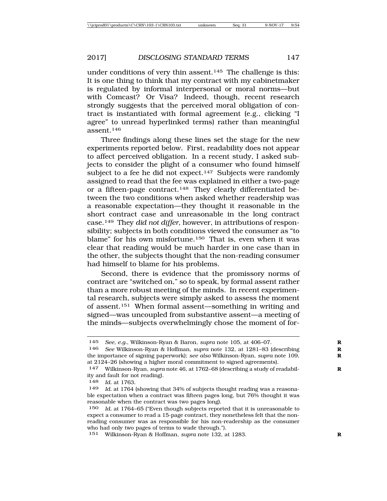under conditions of very thin assent.<sup>145</sup> The challenge is this: It is one thing to think that my contract with my cabinetmaker is regulated by informal interpersonal or moral norms—but with Comcast? Or Visa? Indeed, though, recent research strongly suggests that the perceived moral obligation of contract is instantiated with formal agreement (e.g., clicking "I agree" to unread hyperlinked terms) rather than meaningful assent.146

Three findings along these lines set the stage for the new experiments reported below. First, readability does not appear to affect perceived obligation. In a recent study, I asked subjects to consider the plight of a consumer who found himself subject to a fee he did not expect.<sup>147</sup> Subjects were randomly assigned to read that the fee was explained in either a two-page or a fifteen-page contract.148 They clearly differentiated between the two conditions when asked whether readership was a reasonable expectation—they thought it reasonable in the short contract case and unreasonable in the long contract case.149 They *did not differ*, however, in attributions of responsibility; subjects in both conditions viewed the consumer as "to blame" for his own misfortune.150 That is, even when it was clear that reading would be much harder in one case than in the other, the subjects thought that the non-reading consumer had himself to blame for his problems.

Second, there is evidence that the promissory norms of contract are "switched on," so to speak, by formal assent rather than a more robust meeting of the minds. In recent experimental research, subjects were simply asked to assess the moment of assent.151 When formal assent—something in writing and signed—was uncoupled from substantive assent—a meeting of the minds—subjects overwhelmingly chose the moment of for-

<sup>145</sup> *See, e.g.*, Wilkinson-Ryan & Baron, *supra* note 105, at 406–07. **R**

<sup>146</sup> *See* Wilkinson-Ryan & Hoffman, *supra* note 132, at 1281–83 (describing **R** the importance of signing paperwork); *see also* Wilkinson-Ryan, *supra* note 109, **R** at 2124–26 (showing a higher moral commitment to signed agreements).

<sup>147</sup> Wilkinson-Ryan, *supra* note 46, at 1762–68 (describing a study of readabil- **R** ity and fault for not reading).

<sup>148</sup> *Id.* at 1763.

<sup>149</sup> *Id.* at 1764 (showing that 34% of subjects thought reading was a reasonable expectation when a contract was fifteen pages long, but 76% thought it was reasonable when the contract was two pages long).

<sup>150</sup> *Id.* at 1764–65 ("Even though subjects reported that it is unreasonable to expect a consumer to read a 15-page contract, they nonetheless felt that the nonreading consumer was as responsible for his non-readership as the consumer who had only two pages of terms to wade through.").

<sup>151</sup> Wilkinson-Ryan & Hoffman, *supra* note 132, at 1283. **R**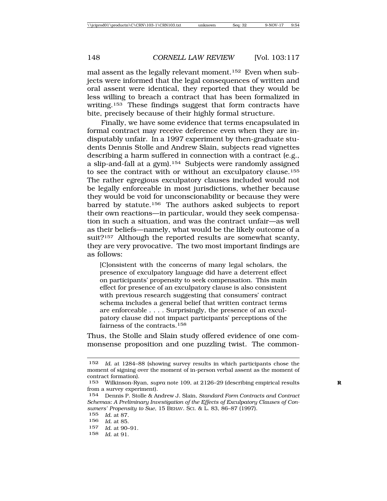mal assent as the legally relevant moment.152 Even when subjects were informed that the legal consequences of written and oral assent were identical, they reported that they would be less willing to breach a contract that has been formalized in writing.153 These findings suggest that form contracts have bite, precisely because of their highly formal structure.

Finally, we have some evidence that terms encapsulated in formal contract may receive deference even when they are indisputably unfair. In a 1997 experiment by then-graduate students Dennis Stolle and Andrew Slain, subjects read vignettes describing a harm suffered in connection with a contract (e.g., a slip-and-fall at a gym).154 Subjects were randomly assigned to see the contract with or without an exculpatory clause.155 The rather egregious exculpatory clauses included would not be legally enforceable in most jurisdictions, whether because they would be void for unconscionability or because they were barred by statute.156 The authors asked subjects to report their own reactions—in particular, would they seek compensation in such a situation, and was the contract unfair—as well as their beliefs—namely, what would be the likely outcome of a suit?<sup>157</sup> Although the reported results are somewhat scanty, they are very provocative. The two most important findings are as follows:

[C]onsistent with the concerns of many legal scholars, the presence of exculpatory language did have a deterrent effect on participants' propensity to seek compensation. This main effect for presence of an exculpatory clause is also consistent with previous research suggesting that consumers' contract schema includes a general belief that written contract terms are enforceable . . . . Surprisingly, the presence of an exculpatory clause did not impact participants' perceptions of the fairness of the contracts.<sup>158</sup>

Thus, the Stolle and Slain study offered evidence of one commonsense proposition and one puzzling twist. The common-

155 *Id.* at 87.

- 157 *Id.* at 90–91.
- 158 *Id.* at 91.

<sup>152</sup> *Id.* at 1284–88 (showing survey results in which participants chose the moment of signing over the moment of in-person verbal assent as the moment of contract formation).

<sup>153</sup> Wilkinson-Ryan, *supra* note 109, at 2126–29 (describing empirical results **R** from a survey experiment).

<sup>154</sup> Dennis P. Stolle & Andrew J. Slain, *Standard Form Contracts and Contract Schemas: A Preliminary Investigation of the Effects of Exculpatory Clauses of Consumers' Propensity to Sue*, 15 BEHAV. SCI. & L. 83, 86–87 (1997).

<sup>156</sup> *Id.* at 85.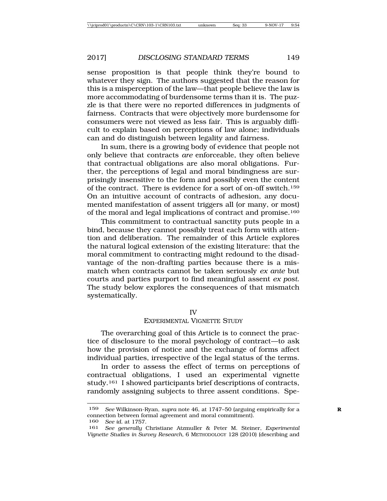sense proposition is that people think they're bound to whatever they sign. The authors suggested that the reason for this is a misperception of the law—that people believe the law is more accommodating of burdensome terms than it is. The puzzle is that there were no reported differences in judgments of fairness. Contracts that were objectively more burdensome for consumers were not viewed as less fair. This is arguably difficult to explain based on perceptions of law alone; individuals can and do distinguish between legality and fairness.

In sum, there is a growing body of evidence that people not only believe that contracts *are* enforceable, they often believe that contractual obligations are also moral obligations. Further, the perceptions of legal and moral bindingness are surprisingly insensitive to the form and possibly even the content of the contract. There is evidence for a sort of on-off switch.159 On an intuitive account of contracts of adhesion, any documented manifestation of assent triggers all (or many, or most) of the moral and legal implications of contract and promise.160

This commitment to contractual sanctity puts people in a bind, because they cannot possibly treat each form with attention and deliberation. The remainder of this Article explores the natural logical extension of the existing literature: that the moral commitment to contracting might redound to the disadvantage of the non-drafting parties because there is a mismatch when contracts cannot be taken seriously *ex ante* but courts and parties purport to find meaningful assent *ex post*. The study below explores the consequences of that mismatch systematically.

#### IV

#### EXPERIMENTAL VIGNETTE STUDY

The overarching goal of this Article is to connect the practice of disclosure to the moral psychology of contract—to ask how the provision of notice and the exchange of forms affect individual parties, irrespective of the legal status of the terms.

In order to assess the effect of terms on perceptions of contractual obligations, I used an experimental vignette study.161 I showed participants brief descriptions of contracts, randomly assigning subjects to three assent conditions. Spe-

<sup>159</sup> *See* Wilkinson-Ryan, *supra* note 46, at 1747–50 (arguing empirically for a **R** connection between formal agreement and moral commitment).

<sup>160</sup> *See id.* at 1757.

<sup>161</sup> *See generally* Christiane Atzmuller & Peter M. Steiner, *Experimental Vignette Studies in Survey Research,* 6 METHODOLOGY 128 (2010) (describing and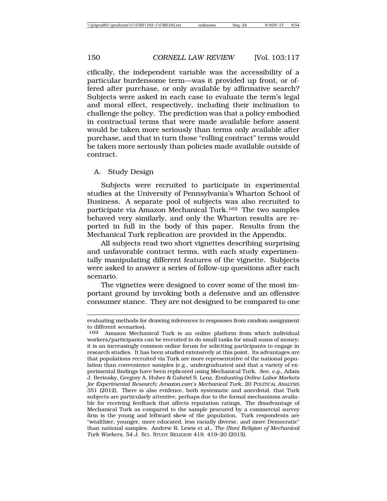cifically, the independent variable was the accessibility of a particular burdensome term—was it provided up front, or offered after purchase, or only available by affirmative search? Subjects were asked in each case to evaluate the term's legal and moral effect, respectively, including their inclination to challenge the policy. The prediction was that a policy embodied in contractual terms that were made available before assent would be taken more seriously than terms only available after purchase, and that in turn those "rolling contract" terms would be taken more seriously than policies made available outside of contract.

#### A. Study Design

Subjects were recruited to participate in experimental studies at the University of Pennsylvania's Wharton School of Business. A separate pool of subjects was also recruited to participate via Amazon Mechanical Turk.162 The two samples behaved very similarly, and only the Wharton results are reported in full in the body of this paper. Results from the Mechanical Turk replication are provided in the Appendix.

All subjects read two short vignettes describing surprising and unfavorable contract terms, with each study experimentally manipulating different features of the vignette. Subjects were asked to answer a series of follow-up questions after each scenario.

The vignettes were designed to cover some of the most important ground by invoking both a defensive and an offensive consumer stance. They are not designed to be compared to one

evaluating methods for drawing inferences to responses from random assignment to different scenarios).

<sup>162</sup> Amazon Mechanical Turk is an online platform from which individual workers/participants can be recruited to do small tasks for small sums of money; it is an increasingly common online forum for soliciting participants to engage in research studies. It has been studied extensively at this point. Its advantages are that populations recruited via Turk are more representative of the national population than convenience samples (e.g., undergraduates) and that a variety of experimental findings have been replicated using Mechanical Turk. *See, e.g.*, Adam J. Berinsky, Gregory A. Huber & Gabriel S. Lenz, *Evaluating Online Labor Markets for Experimental Research: Amazon.com's Mechanical Turk*, 20 POLITICAL ANALYSIS 351 (2012). There is also evidence, both systematic and anecdotal, that Turk subjects are particularly attentive, perhaps due to the formal mechanisms available for receiving feedback that affects reputation ratings. The disadvantage of Mechanical Turk as compared to the sample procured by a commercial survey firm is the young and leftward skew of the population. Turk respondents are "wealthier, younger, more educated, less racially diverse, and more Democratic" than national samples. Andrew R. Lewis et al., *The (Non) Religion of Mechanical Turk Workers*, 54 J. SCI. STUDY RELIGION 419, 419–20 (2015).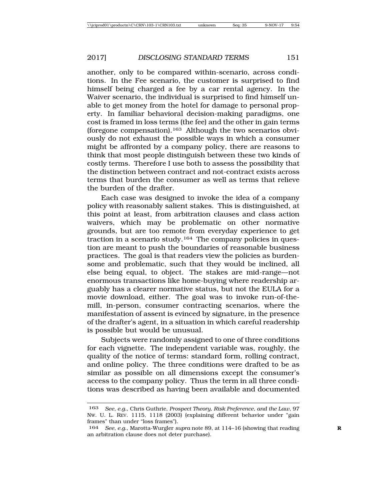another, only to be compared within-scenario, across conditions. In the Fee scenario, the customer is surprised to find himself being charged a fee by a car rental agency. In the Waiver scenario, the individual is surprised to find himself unable to get money from the hotel for damage to personal property. In familiar behavioral decision-making paradigms, one cost is framed in loss terms (the fee) and the other in gain terms (foregone compensation).163 Although the two scenarios obviously do not exhaust the possible ways in which a consumer might be affronted by a company policy, there are reasons to think that most people distinguish between these two kinds of costly terms. Therefore I use both to assess the possibility that the distinction between contract and not-contract exists across terms that burden the consumer as well as terms that relieve the burden of the drafter.

Each case was designed to invoke the idea of a company policy with reasonably salient stakes. This is distinguished, at this point at least, from arbitration clauses and class action waivers, which may be problematic on other normative grounds, but are too remote from everyday experience to get traction in a scenario study.<sup>164</sup> The company policies in question are meant to push the boundaries of reasonable business practices. The goal is that readers view the policies as burdensome and problematic, such that they would be inclined, all else being equal, to object. The stakes are mid-range—not enormous transactions like home-buying where readership arguably has a clearer normative status, but not the EULA for a movie download, either. The goal was to invoke run-of-themill, in-person, consumer contracting scenarios, where the manifestation of assent is evinced by signature, in the presence of the drafter's agent, in a situation in which careful readership is possible but would be unusual.

Subjects were randomly assigned to one of three conditions for each vignette. The independent variable was, roughly, the quality of the notice of terms: standard form, rolling contract, and online policy. The three conditions were drafted to be as similar as possible on all dimensions except the consumer's access to the company policy. Thus the term in all three conditions was described as having been available and documented

<sup>163</sup> *See, e.g.*, Chris Guthrie, *Prospect Theory, Risk Preference, and the Law*, 97 NW. U. L. REV. 1115, 1118 (2003) (explaining different behavior under "gain frames" than under "loss frames").

<sup>164</sup> *See, e.g.*, Marotta-Wurgler *supra* note 89, at 114–16 (showing that reading **R** an arbitration clause does not deter purchase).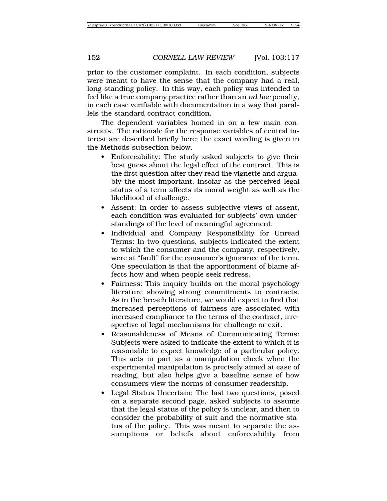prior to the customer complaint. In each condition, subjects were meant to have the sense that the company had a real, long-standing policy. In this way, each policy was intended to feel like a true company practice rather than an *ad hoc* penalty, in each case verifiable with documentation in a way that parallels the standard contract condition.

The dependent variables homed in on a few main constructs. The rationale for the response variables of central interest are described briefly here; the exact wording is given in the Methods subsection below.

- Enforceability: The study asked subjects to give their best guess about the legal effect of the contract. This is the first question after they read the vignette and arguably the most important, insofar as the perceived legal status of a term affects its moral weight as well as the likelihood of challenge.
- Assent: In order to assess subjective views of assent, each condition was evaluated for subjects' own understandings of the level of meaningful agreement.
- Individual and Company Responsibility for Unread Terms: In two questions, subjects indicated the extent to which the consumer and the company, respectively, were at "fault" for the consumer's ignorance of the term. One speculation is that the apportionment of blame affects how and when people seek redress.
- Fairness: This inquiry builds on the moral psychology literature showing strong commitments to contracts. As in the breach literature, we would expect to find that increased perceptions of fairness are associated with increased compliance to the terms of the contract, irrespective of legal mechanisms for challenge or exit.
- Reasonableness of Means of Communicating Terms: Subjects were asked to indicate the extent to which it is reasonable to expect knowledge of a particular policy. This acts in part as a manipulation check when the experimental manipulation is precisely aimed at ease of reading, but also helps give a baseline sense of how consumers view the norms of consumer readership.
- Legal Status Uncertain: The last two questions, posed on a separate second page, asked subjects to assume that the legal status of the policy is unclear, and then to consider the probability of suit and the normative status of the policy. This was meant to separate the assumptions or beliefs about enforceability from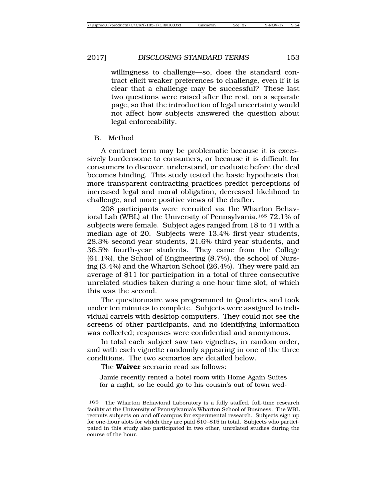willingness to challenge—so, does the standard contract elicit weaker preferences to challenge, even if it is clear that a challenge may be successful? These last two questions were raised after the rest, on a separate page, so that the introduction of legal uncertainty would not affect how subjects answered the question about legal enforceability.

B. Method

A contract term may be problematic because it is excessively burdensome to consumers, or because it is difficult for consumers to discover, understand, or evaluate before the deal becomes binding. This study tested the basic hypothesis that more transparent contracting practices predict perceptions of increased legal and moral obligation, decreased likelihood to challenge, and more positive views of the drafter.

208 participants were recruited via the Wharton Behavioral Lab (WBL) at the University of Pennsylvania.165 72.1% of subjects were female. Subject ages ranged from 18 to 41 with a median age of 20. Subjects were 13.4% first-year students, 28.3% second-year students, 21.6% third-year students, and 36.5% fourth-year students. They came from the College (61.1%), the School of Engineering (8.7%), the school of Nursing (3.4%) and the Wharton School (26.4%). They were paid an average of \$11 for participation in a total of three consecutive unrelated studies taken during a one-hour time slot, of which this was the second.

The questionnaire was programmed in Qualtrics and took under ten minutes to complete. Subjects were assigned to individual carrels with desktop computers. They could not see the screens of other participants, and no identifying information was collected; responses were confidential and anonymous.

In total each subject saw two vignettes, in random order, and with each vignette randomly appearing in one of the three conditions. The two scenarios are detailed below.

The **Waiver** scenario read as follows:

Jamie recently rented a hotel room with Home Again Suites for a night, so he could go to his cousin's out of town wed-

<sup>165</sup> The Wharton Behavioral Laboratory is a fully staffed, full-time research facility at the University of Pennsylvania's Wharton School of Business. The WBL recruits subjects on and off campus for experimental research. Subjects sign up for one-hour slots for which they are paid \$10–\$15 in total. Subjects who participated in this study also participated in two other, unrelated studies during the course of the hour.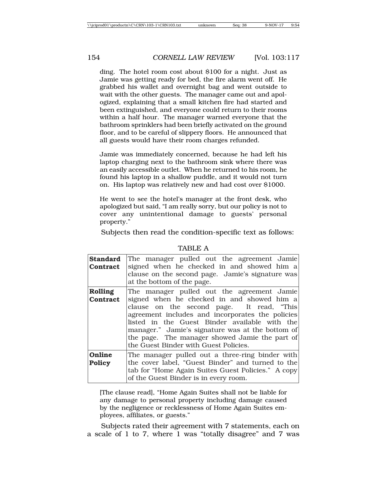ding. The hotel room cost about \$100 for a night. Just as Jamie was getting ready for bed, the fire alarm went off. He grabbed his wallet and overnight bag and went outside to wait with the other guests. The manager came out and apologized, explaining that a small kitchen fire had started and been extinguished, and everyone could return to their rooms within a half hour. The manager warned everyone that the bathroom sprinklers had been briefly activated on the ground floor, and to be careful of slippery floors. He announced that all guests would have their room charges refunded.

Jamie was immediately concerned, because he had left his laptop charging next to the bathroom sink where there was an easily accessible outlet. When he returned to his room, he found his laptop in a shallow puddle, and it would not turn on. His laptop was relatively new and had cost over \$1000.

He went to see the hotel's manager at the front desk, who apologized but said, "I am really sorry, but our policy is not to cover any unintentional damage to guests' personal property."

Subjects then read the condition-specific text as follows:

| <b>Standard</b><br>Contract | The manager pulled out the agreement Jamie<br>signed when he checked in and showed him a<br>clause on the second page. Jamie's signature was<br>at the bottom of the page.                                                                                                                                                                                                                |
|-----------------------------|-------------------------------------------------------------------------------------------------------------------------------------------------------------------------------------------------------------------------------------------------------------------------------------------------------------------------------------------------------------------------------------------|
| Rolling<br>Contract         | The manager pulled out the agreement Jamie<br>signed when he checked in and showed him a<br>clause on the second page. It read, "This<br>agreement includes and incorporates the policies<br>listed in the Guest Binder available with the<br>manager." Jamie's signature was at the bottom of<br>the page. The manager showed Jamie the part of<br>the Guest Binder with Guest Policies. |
| Online<br><b>Policy</b>     | The manager pulled out a three-ring binder with<br>the cover label, "Guest Binder" and turned to the<br>tab for "Home Again Suites Guest Policies." A copy<br>of the Guest Binder is in every room.                                                                                                                                                                                       |

TABLE A

[The clause read], "Home Again Suites shall not be liable for any damage to personal property including damage caused by the negligence or recklessness of Home Again Suites employees, affiliates, or guests."

Subjects rated their agreement with 7 statements, each on a scale of 1 to 7, where 1 was "totally disagree" and 7 was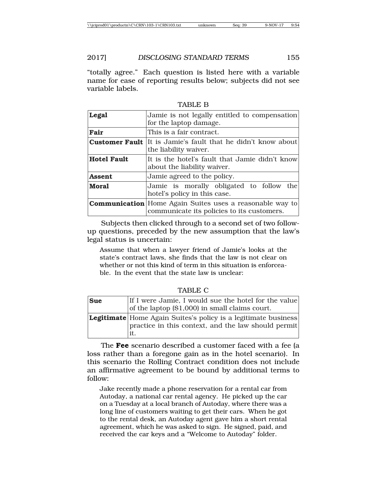"totally agree." Each question is listed here with a variable name for ease of reporting results below; subjects did not see variable labels.

| Legal              | Jamie is not legally entitled to compensation<br>for the laptop damage.                                       |  |  |  |
|--------------------|---------------------------------------------------------------------------------------------------------------|--|--|--|
| Fair               | This is a fair contract.                                                                                      |  |  |  |
|                    | <b>Customer Fault</b> It is Jamie's fault that he didn't know about<br>the liability waiver.                  |  |  |  |
| <b>Hotel Fault</b> | It is the hotel's fault that Jamie didn't know<br>about the liability waiver.                                 |  |  |  |
| <b>Assent</b>      | Jamie agreed to the policy.                                                                                   |  |  |  |
| <b>Moral</b>       | Jamie is morally obligated to follow the<br>hotel's policy in this case.                                      |  |  |  |
|                    | <b>Communication</b> Home Again Suites uses a reasonable way to<br>communicate its policies to its customers. |  |  |  |

TABLE B

Subjects then clicked through to a second set of two followup questions, preceded by the new assumption that the law's legal status is uncertain:

Assume that when a lawyer friend of Jamie's looks at the state's contract laws, she finds that the law is not clear on whether or not this kind of term in this situation is enforceable. In the event that the state law is unclear:

TABLE C

| <b>Sue</b> | If I were Jamie, I would sue the hotel for the value<br>of the laptop (\$1,000) in small claims court.                               |
|------------|--------------------------------------------------------------------------------------------------------------------------------------|
|            | <b>Legitimate</b> Home Again Suites's policy is a legitimate business<br>practice in this context, and the law should permit<br>lit. |

The **Fee** scenario described a customer faced with a fee (a loss rather than a foregone gain as in the hotel scenario). In this scenario the Rolling Contract condition does not include an affirmative agreement to be bound by additional terms to follow:

Jake recently made a phone reservation for a rental car from Autoday, a national car rental agency. He picked up the car on a Tuesday at a local branch of Autoday, where there was a long line of customers waiting to get their cars. When he got to the rental desk, an Autoday agent gave him a short rental agreement, which he was asked to sign. He signed, paid, and received the car keys and a "Welcome to Autoday" folder.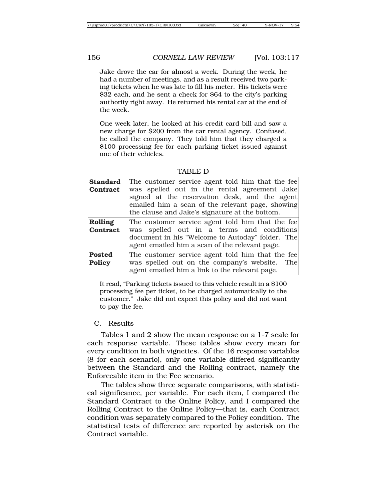Jake drove the car for almost a week. During the week, he had a number of meetings, and as a result received two parking tickets when he was late to fill his meter. His tickets were \$32 each, and he sent a check for \$64 to the city's parking authority right away. He returned his rental car at the end of the week.

One week later, he looked at his credit card bill and saw a new charge for \$200 from the car rental agency. Confused, he called the company. They told him that they charged a \$100 processing fee for each parking ticket issued against one of their vehicles.

| <b>Standard</b><br>Contract | The customer service agent told him that the fee<br>was spelled out in the rental agreement Jake<br>signed at the reservation desk, and the agent<br>emailed him a scan of the relevant page, showing<br>the clause and Jake's signature at the bottom. |
|-----------------------------|---------------------------------------------------------------------------------------------------------------------------------------------------------------------------------------------------------------------------------------------------------|
| Rolling<br>Contract         | The customer service agent told him that the fee<br>was spelled out in a terms and conditions<br>document in his "Welcome to Autoday" folder. The<br>agent emailed him a scan of the relevant page.                                                     |
| <b>Posted</b><br>Policy     | The customer service agent told him that the fee<br>was spelled out on the company's website. The<br>agent emailed him a link to the relevant page.                                                                                                     |

TABLE D

It read, "Parking tickets issued to this vehicle result in a \$100 processing fee per ticket, to be charged automatically to the customer." Jake did not expect this policy and did not want to pay the fee.

## C. Results

Tables 1 and 2 show the mean response on a 1-7 scale for each response variable. These tables show every mean for every condition in both vignettes. Of the 16 response variables (8 for each scenario), only one variable differed significantly between the Standard and the Rolling contract, namely the Enforceable item in the Fee scenario.

The tables show three separate comparisons, with statistical significance, per variable. For each item, I compared the Standard Contract to the Online Policy, and I compared the Rolling Contract to the Online Policy—that is, each Contract condition was separately compared to the Policy condition. The statistical tests of difference are reported by asterisk on the Contract variable.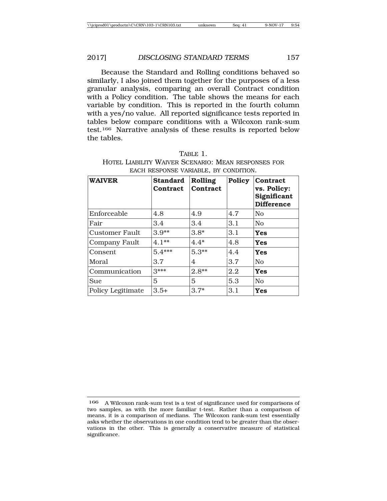Because the Standard and Rolling conditions behaved so similarly, I also joined them together for the purposes of a less granular analysis, comparing an overall Contract condition with a Policy condition. The table shows the means for each variable by condition. This is reported in the fourth column with a yes/no value. All reported significance tests reported in tables below compare conditions with a Wilcoxon rank-sum test.166 Narrative analysis of these results is reported below the tables.

| TABLE 1.                                            |
|-----------------------------------------------------|
| HOTEL LIABILITY WAIVER SCENARIO: MEAN RESPONSES FOR |
| EACH RESPONSE VARIABLE. BY CONDITION.               |

| <b>WAIVER</b>         | <b>Standard</b><br><b>Contract</b> | Rolling<br>Contract | Policy | <b>Contract</b><br>vs. Policy:<br>Significant<br><b>Difference</b> |
|-----------------------|------------------------------------|---------------------|--------|--------------------------------------------------------------------|
| Enforceable           | 4.8                                | 4.9                 | 4.7    | N <sub>0</sub>                                                     |
| Fair                  | 3.4                                | 3.4                 | 3.1    | N <sub>0</sub>                                                     |
| <b>Customer Fault</b> | $3.9**$                            | $3.8*$              | 3.1    | <b>Yes</b>                                                         |
| <b>Company Fault</b>  | $4.1**$                            | $4.4*$              | 4.8    | Yes                                                                |
| Consent               | $5.4***$                           | $5.3**$             | 4.4    | Yes                                                                |
| Moral                 | 3.7                                | 4                   | 3.7    | $\overline{N}_{\Omega}$                                            |
| Communication         | $3***$                             | $2.8**$             | 2.2    | <b>Yes</b>                                                         |
| Sue                   | 5                                  | 5                   | 5.3    | N <sub>0</sub>                                                     |
| Policy Legitimate     | $3.5+$                             | $3.7*$              | 3.1    | <b>Yes</b>                                                         |

<sup>166</sup> A Wilcoxon rank-sum test is a test of significance used for comparisons of two samples, as with the more familiar t-test. Rather than a comparison of means, it is a comparison of medians. The Wilcoxon rank-sum test essentially asks whether the observations in one condition tend to be greater than the observations in the other. This is generally a conservative measure of statistical significance.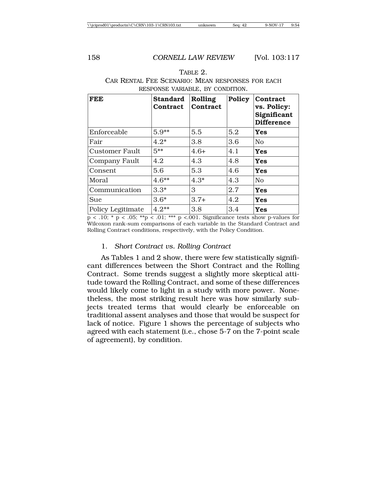| <b>FEE</b>            | <b>Standard</b><br>Contract | Rolling<br>Contract | <b>Policy</b> | Contract<br>vs. Policy:<br>Significant<br><b>Difference</b> |
|-----------------------|-----------------------------|---------------------|---------------|-------------------------------------------------------------|
| Enforceable           | $5.9**$                     | 5.5                 | 5.2           | Yes                                                         |
| Fair                  | $4.2*$                      | 3.8                 | 3.6           | N <sub>0</sub>                                              |
| <b>Customer Fault</b> | $5***$                      | $4.6+$              | 4.1           | Yes                                                         |
| Company Fault         | 4.2                         | 4.3                 | 4.8           | Yes                                                         |
| Consent               | 5.6                         | 5.3                 | 4.6           | <b>Yes</b>                                                  |
| Moral                 | $4.6**$                     | $4.3*$              | 4.3           | N <sub>0</sub>                                              |
| Communication         | $3.3*$                      | 3                   | 2.7           | <b>Yes</b>                                                  |
| Sue                   | $3.6*$                      | $3.7+$              | 4.2           | <b>Yes</b>                                                  |
| Policy Legitimate     | $4.2**$                     | 3.8                 | 3.4           | <b>Yes</b>                                                  |

TABLE 2. CAR RENTAL FEE SCENARIO: MEAN RESPONSES FOR EACH RESPONSE VARIABLE, BY CONDITION.

 $p < .10$ ; \*  $p < .05$ ; \*\* $p < .01$ ; \*\*\*  $p < .001$ . Significance tests show p-values for Wilcoxon rank-sum comparisons of each variable in the Standard Contract and Rolling Contract conditions, respectively, with the Policy Condition.

#### 1. *Short Contract vs. Rolling Contract*

As Tables 1 and 2 show, there were few statistically significant differences between the Short Contract and the Rolling Contract. Some trends suggest a slightly more skeptical attitude toward the Rolling Contract, and some of these differences would likely come to light in a study with more power. Nonetheless, the most striking result here was how similarly subjects treated terms that would clearly be enforceable on traditional assent analyses and those that would be suspect for lack of notice. Figure 1 shows the percentage of subjects who agreed with each statement (i.e., chose 5-7 on the 7-point scale of agreement), by condition.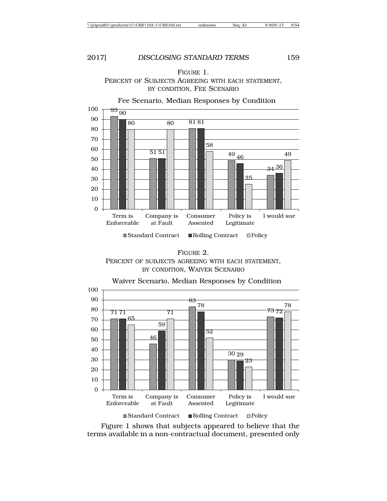



FIGURE 2. PERCENT OF SUBJECTS AGREEING WITH EACH STATEMENT, BY CONDITION, WAIVER SCENARIO



Figure 1 shows that subjects appeared to believe that the terms available in a non-contractual document, presented only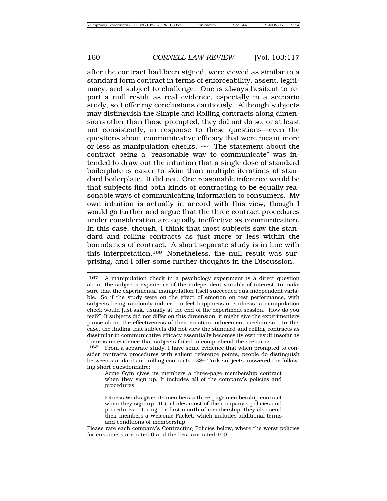after the contract had been signed, were viewed as similar to a standard form contract in terms of enforceability, assent, legitimacy, and subject to challenge. One is always hesitant to report a null result as real evidence, especially in a scenario study, so I offer my conclusions cautiously. Although subjects may distinguish the Simple and Rolling contracts along dimensions other than those prompted, they did not do so, or at least not consistently, in response to these questions—even the questions about communicative efficacy that were meant more or less as manipulation checks. 167 The statement about the contract being a "reasonable way to communicate" was intended to draw out the intuition that a single dose of standard boilerplate is easier to skim than multiple iterations of standard boilerplate. It did not. One reasonable inference would be that subjects find both kinds of contracting to be equally reasonable ways of communicating information to consumers. My own intuition is actually in accord with this view, though I would go further and argue that the three contract procedures under consideration are equally ineffective as communication. In this case, though, I think that most subjects saw the standard and rolling contracts as just more or less within the boundaries of contract. A short separate study is in line with this interpretation.168 Nonetheless, the null result was surprising, and I offer some further thoughts in the Discussion.

<sup>167</sup> A manipulation check in a psychology experiment is a direct question about the subject's experience of the independent variable of interest, to make sure that the experimental manipulation itself succeeded qua independent variable. So if the study were on the effect of emotion on test performance, with subjects being randomly induced to feel happiness or sadness, a manipulation check would just ask, usually at the end of the experiment session, "How do you feel?" If subjects did not differ on this dimension, it might give the experimenters pause about the effectiveness of their emotion-inducement mechanism. In this case, the finding that subjects did not view the standard and rolling contracts as dissimilar in communicative efficacy essentially becomes its own result insofar as there is no evidence that subjects failed to comprehend the scenarios.

<sup>168</sup> From a separate study, I have some evidence that when prompted to consider contracts procedures with salient reference points, people do distinguish between standard and rolling contracts. 286 Turk subjects answered the following short questionnaire:

Acme Gym gives its members a three-page membership contract when they sign up. It includes all of the company's policies and procedures.

Fitness Works gives its members a three-page membership contract when they sign up. It includes most of the company's policies and procedures. During the first month of membership, they also send their members a Welcome Packet, which includes additional terms and conditions of membership.

Please rate each company's Contracting Policies below, where the worst policies for customers are rated 0 and the best are rated 100.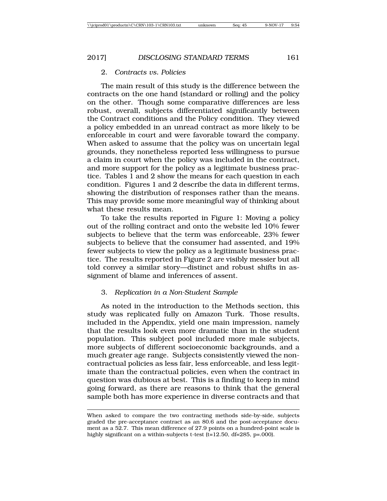#### 2. *Contracts vs. Policies*

The main result of this study is the difference between the contracts on the one hand (standard or rolling) and the policy on the other. Though some comparative differences are less robust, overall, subjects differentiated significantly between the Contract conditions and the Policy condition. They viewed a policy embedded in an unread contract as more likely to be enforceable in court and were favorable toward the company. When asked to assume that the policy was on uncertain legal grounds, they nonetheless reported less willingness to pursue a claim in court when the policy was included in the contract, and more support for the policy as a legitimate business practice. Tables 1 and 2 show the means for each question in each condition. Figures 1 and 2 describe the data in different terms, showing the distribution of responses rather than the means. This may provide some more meaningful way of thinking about what these results mean.

To take the results reported in Figure 1: Moving a policy out of the rolling contract and onto the website led 10% fewer subjects to believe that the term was enforceable, 23% fewer subjects to believe that the consumer had assented, and 19% fewer subjects to view the policy as a legitimate business practice. The results reported in Figure 2 are visibly messier but all told convey a similar story—distinct and robust shifts in assignment of blame and inferences of assent.

#### 3. *Replication in a Non-Student Sample*

As noted in the introduction to the Methods section, this study was replicated fully on Amazon Turk. Those results, included in the Appendix, yield one main impression, namely that the results look even more dramatic than in the student population. This subject pool included more male subjects, more subjects of different socioeconomic backgrounds, and a much greater age range. Subjects consistently viewed the noncontractual policies as less fair, less enforceable, and less legitimate than the contractual policies, even when the contract in question was dubious at best. This is a finding to keep in mind going forward, as there are reasons to think that the general sample both has more experience in diverse contracts and that

When asked to compare the two contracting methods side-by-side, subjects graded the pre-acceptance contract as an 80.6 and the post-acceptance document as a 52.7. This mean difference of 27.9 points on a hundred-point scale is highly significant on a within-subjects t-test (t=12.50, df=285, p=.000).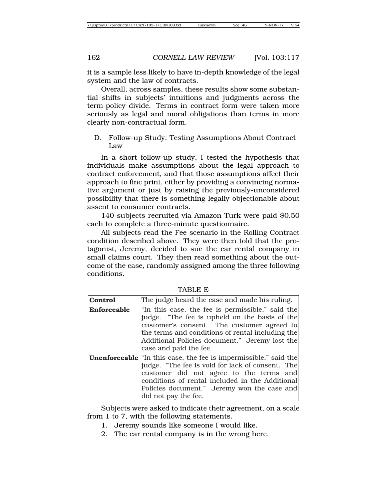it is a sample less likely to have in-depth knowledge of the legal system and the law of contracts.

Overall, across samples, these results show some substantial shifts in subjects' intuitions and judgments across the term-policy divide. Terms in contract form were taken more seriously as legal and moral obligations than terms in more clearly non-contractual form.

D. Follow-up Study: Testing Assumptions About Contract Law

In a short follow-up study, I tested the hypothesis that individuals make assumptions about the legal approach to contract enforcement, and that those assumptions affect their approach to fine print, either by providing a convincing normative argument or just by raising the previously-unconsidered possibility that there is something legally objectionable about assent to consumer contracts.

140 subjects recruited via Amazon Turk were paid \$0.50 each to complete a three-minute questionnaire.

All subjects read the Fee scenario in the Rolling Contract condition described above. They were then told that the protagonist, Jeremy, decided to sue the car rental company in small claims court. They then read something about the outcome of the case, randomly assigned among the three following conditions.

| <b>Control</b> | The judge heard the case and made his ruling.                                                                                                                                                                                                                                                   |  |  |  |  |
|----------------|-------------------------------------------------------------------------------------------------------------------------------------------------------------------------------------------------------------------------------------------------------------------------------------------------|--|--|--|--|
| Enforceable    | "In this case, the fee is permissible," said the<br>judge. "The fee is upheld on the basis of the<br>customer's consent. The customer agreed to<br>the terms and conditions of rental including the<br>Additional Policies document." Jeremy lost the<br>case and paid the fee.                 |  |  |  |  |
|                | <b>Unenforceable</b> in this case, the fee is impermissible," said the<br>judge. "The fee is void for lack of consent. The<br>customer did not agree to the terms and<br>conditions of rental included in the Additional<br>Policies document." Jeremy won the case and<br>did not pay the fee. |  |  |  |  |

TABLE E

Subjects were asked to indicate their agreement, on a scale from 1 to 7, with the following statements.

- 1. Jeremy sounds like someone I would like.
- 2. The car rental company is in the wrong here.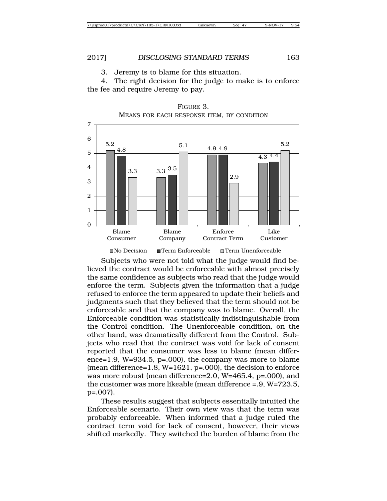3. Jeremy is to blame for this situation.

4. The right decision for the judge to make is to enforce the fee and require Jeremy to pay.



FIGURE 3. MEANS FOR EACH RESPONSE ITEM, BY CONDITION

Subjects who were not told what the judge would find believed the contract would be enforceable with almost precisely the same confidence as subjects who read that the judge would enforce the term. Subjects given the information that a judge refused to enforce the term appeared to update their beliefs and judgments such that they believed that the term should not be enforceable and that the company was to blame. Overall, the Enforceable condition was statistically indistinguishable from the Control condition. The Unenforceable condition, on the other hand, was dramatically different from the Control. Subjects who read that the contract was void for lack of consent reported that the consumer was less to blame (mean difference=1.9, W=934.5, p=.000), the company was more to blame (mean difference=1.8, W=1621, p=.000), the decision to enforce was more robust (mean difference=2.0, W=465.4, p=.000), and the customer was more likeable (mean difference =.9, W=723.5, p=.007).

These results suggest that subjects essentially intuited the Enforceable scenario. Their own view was that the term was probably enforceable. When informed that a judge ruled the contract term void for lack of consent, however, their views shifted markedly. They switched the burden of blame from the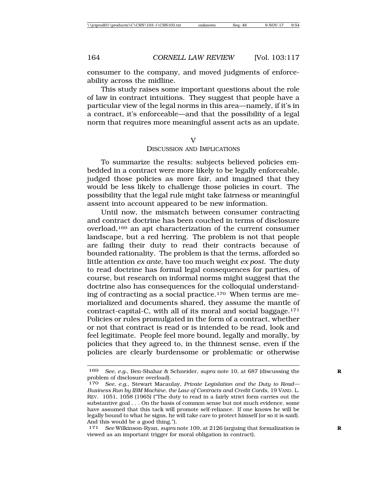consumer to the company, and moved judgments of enforceability across the midline.

This study raises some important questions about the role of law in contract intuitions. They suggest that people have a particular view of the legal norms in this area—namely, if it's in a contract, it's enforceable—and that the possibility of a legal norm that requires more meaningful assent acts as an update.

٦z

#### DISCUSSION AND IMPLICATIONS

To summarize the results: subjects believed policies embedded in a contract were more likely to be legally enforceable, judged those policies as more fair, and imagined that they would be less likely to challenge those policies in court. The possibility that the legal rule might take fairness or meaningful assent into account appeared to be new information.

Until now, the mismatch between consumer contracting and contract doctrine has been couched in terms of disclosure overload,169 an apt characterization of the current consumer landscape, but a red herring. The problem is not that people are failing their duty to read their contracts because of bounded rationality. The problem is that the terms, afforded so little attention *ex ante*, have too much weight *ex post*. The duty to read doctrine has formal legal consequences for parties, of course, but research on informal norms might suggest that the doctrine also has consequences for the colloquial understanding of contracting as a social practice.170 When terms are memorialized and documents shared, they assume the mantle of contract-capital-C, with all of its moral and social baggage.171 Policies or rules promulgated in the form of a contract, whether or not that contract is read or is intended to be read, look and feel legitimate. People feel more bound, legally and morally, by policies that they agreed to, in the thinnest sense, even if the policies are clearly burdensome or problematic or otherwise

<sup>169</sup> *See, e.g.*, Ben-Shahar & Schneider, *supra* note 10, at 687 (discussing the **R** problem of disclosure overload).

<sup>170</sup> *See, e.g.*, Stewart Macaulay, *Private Legislation and the Duty to Read— Business Run by IBM Machine, the Law of Contracts and Credit Cards*, 19 VAND. L. REV. 1051, 1058 (1965) ("The duty to read in a fairly strict form carries out the substantive goal . . . On the basis of common sense but not much evidence, some have assumed that this tack will promote self-reliance. If one knows he will be legally bound to what he signs, he will take care to protect himself (or so it is said). And this would be a good thing.").

<sup>171</sup> *See* Wilkinson-Ryan, *supra* note 109, at 2126 (arguing that formalization is **R** viewed as an important trigger for moral obligation in contract).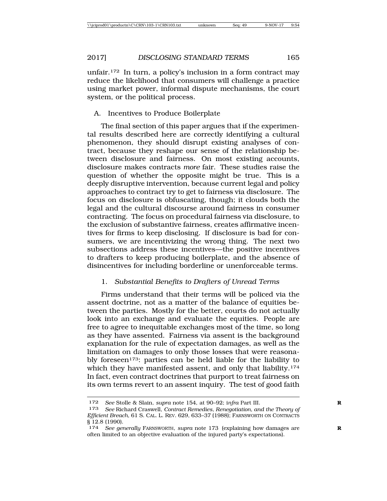unfair.172 In turn, a policy's inclusion in a form contract may reduce the likelihood that consumers will challenge a practice using market power, informal dispute mechanisms, the court system, or the political process.

# A. Incentives to Produce Boilerplate

The final section of this paper argues that if the experimental results described here are correctly identifying a cultural phenomenon, they should disrupt existing analyses of contract, because they reshape our sense of the relationship between disclosure and fairness. On most existing accounts, disclosure makes contracts *more* fair. These studies raise the question of whether the opposite might be true. This is a deeply disruptive intervention, because current legal and policy approaches to contract try to get to fairness via disclosure. The focus on disclosure is obfuscating, though; it clouds both the legal and the cultural discourse around fairness in consumer contracting. The focus on procedural fairness via disclosure, to the exclusion of substantive fairness, creates affirmative incentives for firms to keep disclosing. If disclosure is bad for consumers, we are incentivizing the wrong thing. The next two subsections address these incentives—the positive incentives to drafters to keep producing boilerplate, and the absence of disincentives for including borderline or unenforceable terms.

# 1. *Substantial Benefits to Drafters of Unread Terms*

Firms understand that their terms will be policed via the assent doctrine, not as a matter of the balance of equities between the parties. Mostly for the better, courts do not actually look into an exchange and evaluate the equities. People are free to agree to inequitable exchanges most of the time, so long as they have assented. Fairness via assent is the background explanation for the rule of expectation damages, as well as the limitation on damages to only those losses that were reasonably foreseen<sup>173</sup>: parties can be held liable for the liability to which they have manifested assent, and only that liability.<sup>174</sup> In fact, even contract doctrines that purport to treat fairness on its own terms revert to an assent inquiry. The test of good faith

<sup>172</sup> *See* Stolle & Slain, *supra* note 154, at 90–92; i*nfra* Part III. **R**

<sup>173</sup> *See* Richard Craswell, *Contract Remedies, Renegotiation, and the Theory of Efficient Breach*, 61 S. CAL. L. REV. 629, 633–37 (1988); FARNSWORTH ON CONTRACTS § 12.8 (1990).

<sup>174</sup> *See generally* FARNSWORTH, *supra* note 173 (explaining how damages are **R** often limited to an objective evaluation of the injured party's expectations).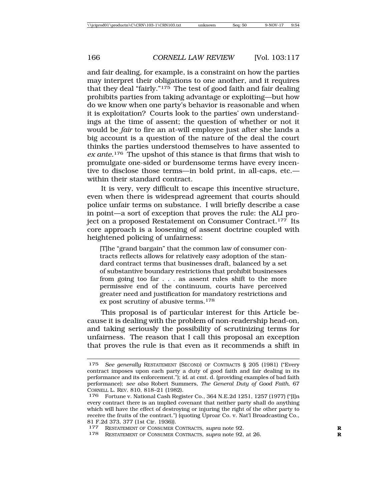and fair dealing, for example, is a constraint on how the parties may interpret their obligations to one another, and it requires that they deal "fairly."175 The test of good faith and fair dealing prohibits parties from taking advantage or exploiting—but how do we know when one party's behavior is reasonable and when it is exploitation? Courts look to the parties' own understandings at the time of assent; the question of whether or not it would be *fair* to fire an at-will employee just after she lands a big account is a question of the nature of the deal the court thinks the parties understood themselves to have assented to *ex ante*.176 The upshot of this stance is that firms that wish to promulgate one-sided or burdensome terms have every incentive to disclose those terms—in bold print, in all-caps, etc. within their standard contract.

It is very, very difficult to escape this incentive structure, even when there is widespread agreement that courts should police unfair terms on substance. I will briefly describe a case in point—a sort of exception that proves the rule: the ALI project on a proposed Restatement on Consumer Contract.177 Its core approach is a loosening of assent doctrine coupled with heightened policing of unfairness:

[T]he "grand bargain" that the common law of consumer contracts reflects allows for relatively easy adoption of the standard contract terms that businesses draft, balanced by a set of substantive boundary restrictions that prohibit businesses from going too far . . . as assent rules shift to the more permissive end of the continuum, courts have perceived greater need and justification for mandatory restrictions and ex post scrutiny of abusive terms.<sup>178</sup>

This proposal is of particular interest for this Article because it is dealing with the problem of non-readership head-on, and taking seriously the possibility of scrutinizing terms for unfairness. The reason that I call this proposal an exception that proves the rule is that even as it recommends a shift in

<sup>175</sup> *See generally* RESTATEMENT (SECOND) OF CONTRACTS § 205 (1981) ("Every contract imposes upon each party a duty of good faith and fair dealing in its performance and its enforcement."); *id.* at cmt. d. (providing examples of bad faith performance); *see also* Robert Summers, *The General Duty of Good Faith*, 67 CORNELL L. REV. 810, 818–21 (1982).

<sup>176</sup> Fortune v. National Cash Register Co., 364 N.E.2d 1251, 1257 (1977) ("[I]n every contract there is an implied covenant that neither party shall do anything which will have the effect of destroying or injuring the right of the other party to receive the fruits of the contract.") (quoting Uproar Co. v. Nat'l Broadcasting Co., 81 F.2d 373, 377 (1st Cir. 1936)).

<sup>177</sup> RESTATEMENT OF CONSUMER CONTRACTS, *supra* note 92. **R**

<sup>178</sup> RESTATEMENT OF CONSUMER CONTRACTS, *supra* note 92, at 26. **R**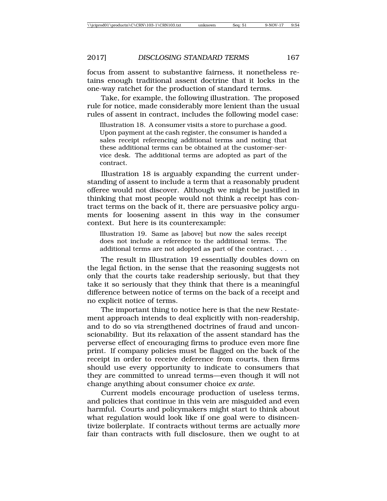focus from assent to substantive fairness, it nonetheless retains enough traditional assent doctrine that it locks in the one-way ratchet for the production of standard terms.

Take, for example, the following illustration. The proposed rule for notice, made considerably more lenient than the usual rules of assent in contract, includes the following model case:

Illustration 18. A consumer visits a store to purchase a good. Upon payment at the cash register, the consumer is handed a sales receipt referencing additional terms and noting that these additional terms can be obtained at the customer-service desk. The additional terms are adopted as part of the contract.

Illustration 18 is arguably expanding the current understanding of assent to include a term that a reasonably prudent offeree would not discover. Although we might be justified in thinking that most people would not think a receipt has contract terms on the back of it, there are persuasive policy arguments for loosening assent in this way in the consumer context. But here is its counterexample:

Illustration 19. Same as [above] but now the sales receipt does not include a reference to the additional terms. The additional terms are not adopted as part of the contract. . . .

The result in Illustration 19 essentially doubles down on the legal fiction, in the sense that the reasoning suggests not only that the courts take readership seriously, but that they take it so seriously that they think that there is a meaningful difference between notice of terms on the back of a receipt and no explicit notice of terms.

The important thing to notice here is that the new Restatement approach intends to deal explicitly with non-readership, and to do so via strengthened doctrines of fraud and unconscionability. But its relaxation of the assent standard has the perverse effect of encouraging firms to produce even more fine print. If company policies must be flagged on the back of the receipt in order to receive deference from courts, then firms should use every opportunity to indicate to consumers that they are committed to unread terms—even though it will not change anything about consumer choice *ex ante*.

Current models encourage production of useless terms, and policies that continue in this vein are misguided and even harmful. Courts and policymakers might start to think about what regulation would look like if one goal were to disincentivize boilerplate. If contracts without terms are actually *more* fair than contracts with full disclosure, then we ought to at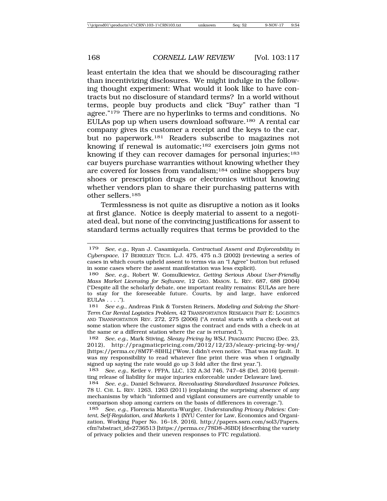least entertain the idea that we should be discouraging rather than incentivizing disclosures. We might indulge in the following thought experiment: What would it look like to have contracts but no disclosure of standard terms? In a world without terms, people buy products and click "Buy" rather than "I agree."179 There are no hyperlinks to terms and conditions. No EULAs pop up when users download software.180 A rental car company gives its customer a receipt and the keys to the car, but no paperwork.181 Readers subscribe to magazines not knowing if renewal is automatic;<sup>182</sup> exercisers join gyms not knowing if they can recover damages for personal injuries;<sup>183</sup> car buyers purchase warranties without knowing whether they are covered for losses from vandalism;184 online shoppers buy shoes or prescription drugs or electronics without knowing whether vendors plan to share their purchasing patterns with other sellers.185

Termlessness is not quite as disruptive a notion as it looks at first glance. Notice is deeply material to assent to a negotiated deal, but none of the convincing justifications for assent to standard terms actually requires that terms be provided to the

<sup>179</sup> *See, e.g.*, Ryan J. Casamiquela, *Contractual Assent and Enforceability in Cyberspace*, 17 BERKELEY TECH. L.J. 475, 475 n.3 (2002) (reviewing a series of cases in which courts upheld assent to terms via an "I Agree" button but refused in some cases where the assent manifestation was less explicit).

<sup>180</sup> *See, e.g.*, Robert W. Gomulkiewicz, *Getting Serious About User-Friendly Mass Market Licensing for Software*, 12 GEO. MASON. L. REV. 687, 688 (2004) ("Despite all the scholarly debate, one important reality remains: EULAs are here to stay for the foreseeable future. Courts, by and large, have enforced  $EULAs ...$ ").

<sup>181</sup> *See e.g.*, Andreas Fink & Torsten Reiners, *Modeling and Solving the Short-Term Car Rental Logistics Problem,* 42 TRANSPORTATION RESEARCH PART E: LOGISTICS AND TRANSPORTATION REV. 272, 275 (2006) ("A rental starts with a check-out at some station where the customer signs the contract and ends with a check-in at the same or a different station where the car is returned.").

<sup>182</sup> *See, e.g.*, Mark Stiving, *Sleazy Pricing by WSJ*, PRAGMATIC PRICING (Dec. 23, 2012), http://pragmaticpricing.com/2012/12/23/sleazy-pricing-by-wsj/ [https://perma.cc/8M7F-8BHL] ("Wow, I didn't even notice. That was my fault. It was my responsibility to read whatever fine print there was when I originally signed up saying the rate would go up 3 fold after the first year.").

<sup>183</sup> *See, e.g.*, Ketler v. PFPA, LLC, 132 A.3d 746, 747–48 (Del. 2016) (permitting release of liability for major injuries enforceable under Delaware law).

<sup>184</sup> *See, e.g.*, Daniel Schwarcz, *Reevaluating Standardized Insurance Policies*, 78 U. CHI. L. REV. 1263, 1263 (2011) (explaining the surprising absence of any mechanisms by which "informed and vigilant consumers are currently unable to comparison shop among carriers on the basis of differences in coverage.").

<sup>185</sup> *See, e.g.*, Florencia Marotta-Wurgler, *Understanding Privacy Policies: Content, Self-Regulation, and Markets* 1 (NYU Center for Law, Economics and Organization, Working Paper No. 16–18, 2016), http://papers.ssrn.com/sol3/Papers. cfm?abstract\_id=2736513 [https://perma.cc/78D8-J6BD] (describing the variety of privacy policies and their uneven responses to FTC regulation).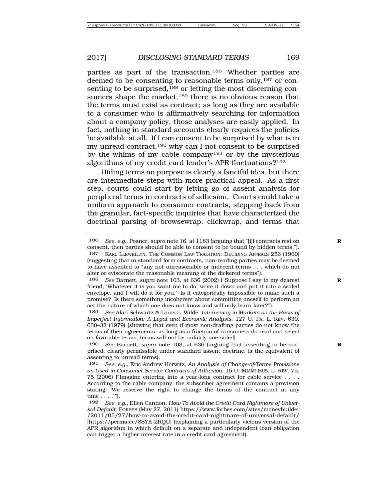parties as part of the transaction.186 Whether parties are deemed to be consenting to reasonable terms only,<sup>187</sup> or consenting to be surprised,<sup>188</sup> or letting the most discerning consumers shape the market,<sup>189</sup> there is no obvious reason that the terms must exist as contract; as long as they are available to a consumer who is affirmatively searching for information about a company policy, those analyses are easily applied. In fact, nothing in standard accounts clearly requires the policies be available at all. If I can consent to be surprised by what is in my unread contract,190 why can I not consent to be surprised by the whims of my cable company191 or by the mysterious algorithms of my credit card lender's APR fluctuations?192

Hiding terms on purpose is clearly a fanciful idea, but there are intermediate steps with more practical appeal. As a first step, courts could start by letting go of assent analysis for peripheral terms in contracts of adhesion. Courts could take a uniform approach to consumer contracts, stepping back from the granular, fact-specific inquiries that have characterized the doctrinal parsing of browsewrap, clickwrap, and terms that

<sup>186</sup> *See, e.g.*, Posner, *supra* note 16, at 1183 (arguing that "[i]f contracts rest on **R** consent, then parties should be able to consent to be bound by hidden terms.").

<sup>187</sup> KARL LLEWELLYN, THE COMMON LAW TRADITION: DECIDING APPEALS 256 (1960) (suggesting that in standard form contracts, non-reading parties may be deemed to have assented to "any not unreasonable or indecent terms . . . which do not alter or eviscerate the reasonable meaning of the dickered terms").

<sup>188</sup> *See* Barnett, *supra* note 103, at 636 (2002) ("Suppose I say to my dearest **R** friend, 'Whatever it is you want me to do, write it down and put it into a sealed envelope, and I will do it for you.' Is it categorically impossible to make such a promise? Is there something incoherent about committing oneself to perform an act the nature of which one does not know and will only learn later?").

<sup>189</sup> *See* Alan Schwartz & Louis L. Wilde, *Intervening in Markets on the Basis of Imperfect Information: A Legal and Economic Analysis*, 127 U. PA. L. REV. 630, 630–32 (1979) (showing that even if most non-drafting parties do not know the terms of their agreements, as long as a fraction of consumers do read and select on favorable terms, terms will not be unfairly one-sided).

<sup>190</sup> *See* Barnett, *supra* note 103, at 636 (arguing that assenting to be sur- **R** prised, clearly permissible under standard assent doctrine, is the equivalent of assenting to unread terms).

<sup>191</sup> *See, e.g.*, Eric Andrew Horwitz, *An Analysis of Change-of-Terms Provisions as Used in Consumer Service Contracts of Adhesion*, 15 U. MIAMI BUS. L. REV. 75, 75 (2006) ("Imagine entering into a year-long contract for cable service . . . . According to the cable company, the subscriber agreement contains a provision stating: 'We reserve the right to change the terms of the contract at any time . . . .'").

<sup>192</sup> *See, e.g.*, Ellen Cannon, *How To Avoid the Credit Card Nightmare of Universal Default*, FORBES (May 27, 2011) https://www.forbes.com/sites/moneybuilder /2011/05/27/how-to-avoid-the-credit-card-nightmare-of-universal-default/ [https://perma.cc/8SYK-ZRQU] (explaining a particularly vicious version of the APR algorithm in which default on a separate and independent loan obligation can trigger a higher interest rate in a credit card agreement).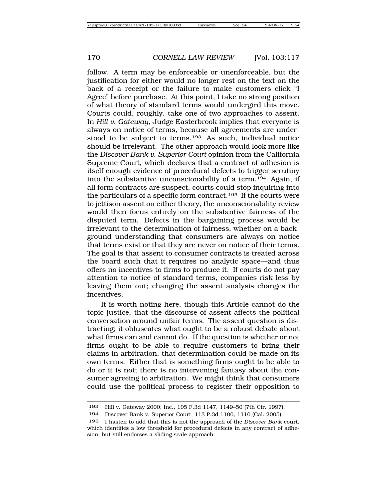follow. A term may be enforceable or unenforceable, but the justification for either would no longer rest on the text on the back of a receipt or the failure to make customers click "I Agree" before purchase. At this point, I take no strong position of what theory of standard terms would undergird this move. Courts could, roughly, take one of two approaches to assent. In *Hill v. Gateway*, Judge Easterbrook implies that everyone is always on notice of terms, because all agreements are understood to be subject to terms.193 As such, individual notice should be irrelevant. The other approach would look more like the *Discover Bank v. Superior Court* opinion from the California Supreme Court, which declares that a contract of adhesion is itself enough evidence of procedural defects to trigger scrutiny into the substantive unconscionability of a term.194 Again, if all form contracts are suspect, courts could stop inquiring into the particulars of a specific form contract.195 If the courts were to jettison assent on either theory, the unconscionability review would then focus entirely on the substantive fairness of the disputed term. Defects in the bargaining process would be irrelevant to the determination of fairness, whether on a background understanding that consumers are always on notice that terms exist or that they are never on notice of their terms. The goal is that assent to consumer contracts is treated across the board such that it requires no analytic space—and thus offers no incentives to firms to produce it. If courts do not pay attention to notice of standard terms, companies risk less by leaving them out; changing the assent analysis changes the incentives.

It is worth noting here, though this Article cannot do the topic justice, that the discourse of assent affects the political conversation around unfair terms. The assent question is distracting; it obfuscates what ought to be a robust debate about what firms can and cannot do. If the question is whether or not firms ought to be able to require customers to bring their claims in arbitration, that determination could be made on its own terms. Either that is something firms ought to be able to do or it is not; there is no intervening fantasy about the consumer agreeing to arbitration. We might think that consumers could use the political process to register their opposition to

<sup>193</sup> Hill v. Gateway 2000, Inc., 105 F.3d 1147, 1149–50 (7th Cir. 1997).

<sup>194</sup> Discover Bank v. Superior Court, 113 P.3d 1100, 1110 (Cal. 2005).

<sup>195</sup> I hasten to add that this is not the approach of the *Discover Bank* court, which identifies a low threshold for procedural defects in any contract of adhesion, but still endorses a sliding scale approach.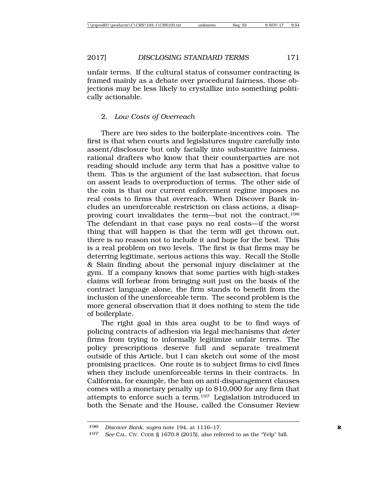unfair terms. If the cultural status of consumer contracting is framed mainly as a debate over procedural fairness, those objections may be less likely to crystallize into something politically actionable.

# 2. *Low Costs of Overreach*

There are two sides to the boilerplate-incentives coin. The first is that when courts and legislatures inquire carefully into assent/disclosure but only facially into substantive fairness, rational drafters who know that their counterparties are not reading should include any term that has a positive value to them. This is the argument of the last subsection, that focus on assent leads to overproduction of terms. The other side of the coin is that our current enforcement regime imposes no real costs to firms that overreach. When Discover Bank includes an unenforceable restriction on class actions, a disapproving court invalidates the term—but not the contract.196 The defendant in that case pays no real costs—if the worst thing that will happen is that the term will get thrown out, there is no reason not to include it and hope for the best. This is a real problem on two levels. The first is that firms may be deterring legitimate, serious actions this way. Recall the Stolle & Slain finding about the personal injury disclaimer at the gym. If a company knows that some parties with high-stakes claims will forbear from bringing suit just on the basis of the contract language alone, the firm stands to benefit from the inclusion of the unenforceable term. The second problem is the more general observation that it does nothing to stem the tide of boilerplate.

The right goal in this area ought to be to find ways of policing contracts of adhesion via legal mechanisms that *deter* firms from trying to informally legitimize unfair terms. The policy prescriptions deserve full and separate treatment outside of this Article, but I can sketch out some of the most promising practices. One route is to subject firms to civil fines when they include unenforceable terms in their contracts. In California, for example, the ban on anti-disparagement clauses comes with a monetary penalty up to \$10,000 for any firm that attempts to enforce such a term.197 Legislation introduced in both the Senate and the House, called the Consumer Review

<sup>196</sup> *Discover Bank*, *supra* note 194, at 1116–17. **R**

<sup>197</sup> *See* CAL. CIV. CODE § 1670.8 (2015), also referred to as the "Yelp" bill.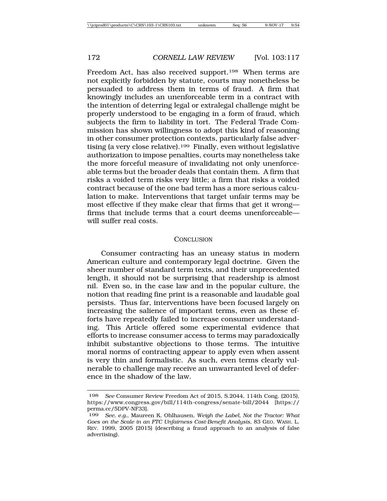Freedom Act, has also received support.198 When terms are not explicitly forbidden by statute, courts may nonetheless be persuaded to address them in terms of fraud. A firm that knowingly includes an unenforceable term in a contract with the intention of deterring legal or extralegal challenge might be properly understood to be engaging in a form of fraud, which subjects the firm to liability in tort. The Federal Trade Commission has shown willingness to adopt this kind of reasoning in other consumer protection contexts, particularly false advertising (a very close relative).199 Finally, even without legislative authorization to impose penalties, courts may nonetheless take the more forceful measure of invalidating not only unenforceable terms but the broader deals that contain them. A firm that risks a voided term risks very little; a firm that risks a voided contract because of the one bad term has a more serious calculation to make. Interventions that target unfair terms may be most effective if they make clear that firms that get it wrong firms that include terms that a court deems unenforceable will suffer real costs.

#### **CONCLUSION**

Consumer contracting has an uneasy status in modern American culture and contemporary legal doctrine. Given the sheer number of standard term texts, and their unprecedented length, it should not be surprising that readership is almost nil. Even so, in the case law and in the popular culture, the notion that reading fine print is a reasonable and laudable goal persists. Thus far, interventions have been focused largely on increasing the salience of important terms, even as these efforts have repeatedly failed to increase consumer understanding. This Article offered some experimental evidence that efforts to increase consumer access to terms may paradoxically inhibit substantive objections to those terms. The intuitive moral norms of contracting appear to apply even when assent is very thin and formalistic. As such, even terms clearly vulnerable to challenge may receive an unwarranted level of deference in the shadow of the law.

<sup>198</sup> *See* Consumer Review Freedom Act of 2015, S.2044, 114th Cong. (2015), https://www.congress.gov/bill/114th-congress/senate-bill/2044 [https:// perma.cc/5DPV-NF33].

<sup>199</sup> *See, e.g.*, Maureen K. Ohlhausen, *Weigh the Label, Not the Tractor: What Goes on the Scale in an FTC Unfairness Cost-Benefit Analysis*, 83 GEO. WASH. L. REV. 1999, 2005 (2015) (describing a fraud approach to an analysis of false advertising).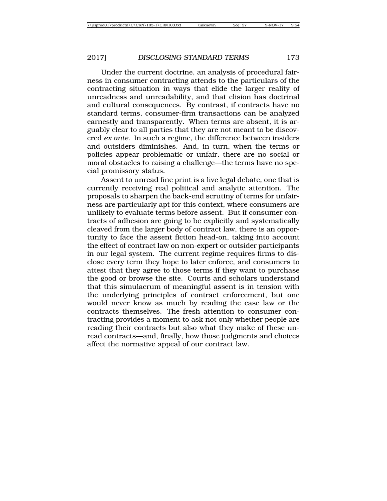Under the current doctrine, an analysis of procedural fairness in consumer contracting attends to the particulars of the contracting situation in ways that elide the larger reality of unreadness and unreadability, and that elision has doctrinal and cultural consequences. By contrast, if contracts have no standard terms, consumer-firm transactions can be analyzed earnestly and transparently. When terms are absent, it is arguably clear to all parties that they are not meant to be discovered *ex ante*. In such a regime, the difference between insiders and outsiders diminishes. And, in turn, when the terms or policies appear problematic or unfair, there are no social or moral obstacles to raising a challenge—the terms have no special promissory status.

Assent to unread fine print is a live legal debate, one that is currently receiving real political and analytic attention. The proposals to sharpen the back-end scrutiny of terms for unfairness are particularly apt for this context, where consumers are unlikely to evaluate terms before assent. But if consumer contracts of adhesion are going to be explicitly and systematically cleaved from the larger body of contract law, there is an opportunity to face the assent fiction head-on, taking into account the effect of contract law on non-expert or outsider participants in our legal system. The current regime requires firms to disclose every term they hope to later enforce, and consumers to attest that they agree to those terms if they want to purchase the good or browse the site. Courts and scholars understand that this simulacrum of meaningful assent is in tension with the underlying principles of contract enforcement, but one would never know as much by reading the case law or the contracts themselves. The fresh attention to consumer contracting provides a moment to ask not only whether people are reading their contracts but also what they make of these unread contracts—and, finally, how those judgments and choices affect the normative appeal of our contract law.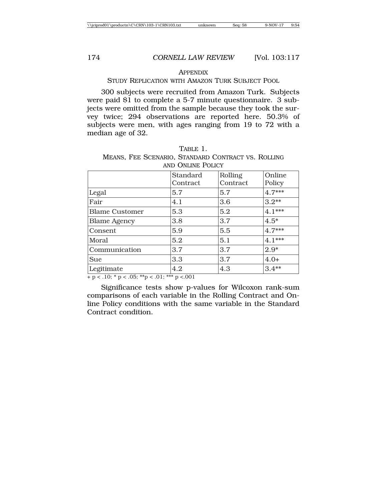#### APPENDIX

#### STUDY REPLICATION WITH AMAZON TURK SUBJECT POOL

300 subjects were recruited from Amazon Turk. Subjects were paid \$1 to complete a 5-7 minute questionnaire. 3 subjects were omitted from the sample because they took the survey twice; 294 observations are reported here. 50.3% of subjects were men, with ages ranging from 19 to 72 with a median age of 32.

| AND ONLINE POLICY     |                      |                     |                  |  |  |
|-----------------------|----------------------|---------------------|------------------|--|--|
|                       | Standard<br>Contract | Rolling<br>Contract | Online<br>Policy |  |  |
| Legal                 | 5.7                  | 5.7                 | $4.7***$         |  |  |
| Fair                  | 4.1                  | 3.6                 | $3.2**$          |  |  |
| <b>Blame Customer</b> | 5.3                  | 5.2                 | $4.1***$         |  |  |
| <b>Blame Agency</b>   | 3.8                  | 3.7                 | $4.5*$           |  |  |
| Consent               | 5.9                  | 5.5                 | $4.7***$         |  |  |
| Moral                 | 5.2                  | 5.1                 | $4.1***$         |  |  |
| Communication         | 3.7                  | 3.7                 | $2.9*$           |  |  |
| <b>Sue</b>            | 3.3                  | 3.7                 | $4.0+$           |  |  |
| Legitimate            | 4.2                  | 4.3                 | $3.4**$          |  |  |

TABLE 1. MEANS, FEE SCENARIO, STANDARD CONTRACT VS. ROLLING AND ONLINE POLICY

+ p < .10; \* p < .05; \*\*p < .01; \*\*\* p <.001

Significance tests show p-values for Wilcoxon rank-sum comparisons of each variable in the Rolling Contract and Online Policy conditions with the same variable in the Standard Contract condition.